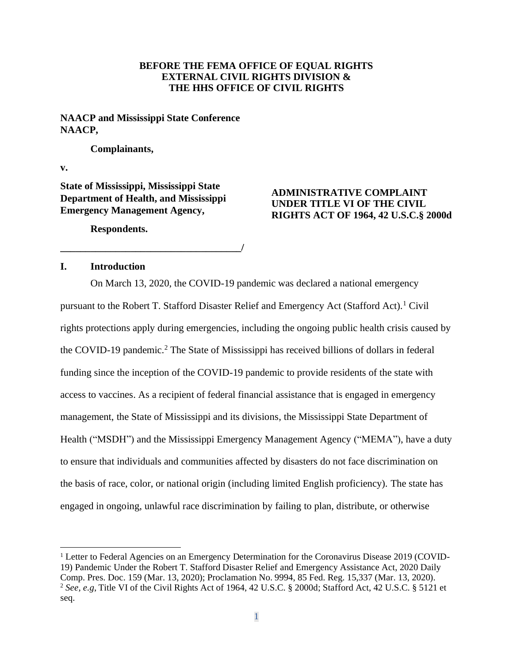## **BEFORE THE FEMA OFFICE OF EQUAL RIGHTS EXTERNAL CIVIL RIGHTS DIVISION & THE HHS OFFICE OF CIVIL RIGHTS**

**NAACP and Mississippi State Conference NAACP,**

#### **Complainants,**

**v.**

**State of Mississippi, Mississippi State Department of Health, and Mississippi Emergency Management Agency,** 

**\_\_\_\_\_\_\_\_\_\_\_\_\_\_\_\_\_\_\_\_\_\_\_\_\_\_\_\_\_\_\_\_\_\_\_\_/**

# **ADMINISTRATIVE COMPLAINT UNDER TITLE VI OF THE CIVIL RIGHTS ACT OF 1964, 42 U.S.C.§ 2000d**

**Respondents.**

#### **I. Introduction**

On March 13, 2020, the COVID-19 pandemic was declared a national emergency pursuant to the Robert T. Stafford Disaster Relief and Emergency Act (Stafford Act).<sup>1</sup> Civil rights protections apply during emergencies, including the ongoing public health crisis caused by the COVID-19 pandemic.<sup>2</sup> The State of Mississippi has received billions of dollars in federal funding since the inception of the COVID-19 pandemic to provide residents of the state with access to vaccines. As a recipient of federal financial assistance that is engaged in emergency management, the State of Mississippi and its divisions, the Mississippi State Department of Health ("MSDH") and the Mississippi Emergency Management Agency ("MEMA"), have a duty to ensure that individuals and communities affected by disasters do not face discrimination on the basis of race, color, or national origin (including limited English proficiency). The state has engaged in ongoing, unlawful race discrimination by failing to plan, distribute, or otherwise

<sup>&</sup>lt;sup>1</sup> Letter to Federal Agencies on an Emergency Determination for the Coronavirus Disease 2019 (COVID-19) Pandemic Under the Robert T. Stafford Disaster Relief and Emergency Assistance Act, 2020 Daily Comp. Pres. Doc. 159 (Mar. 13, 2020); Proclamation No. 9994, 85 Fed. Reg. 15,337 (Mar. 13, 2020). <sup>2</sup> *See, e.g*, Title VI of the Civil Rights Act of 1964, 42 U.S.C. § 2000d; Stafford Act, 42 U.S.C. § 5121 et seq.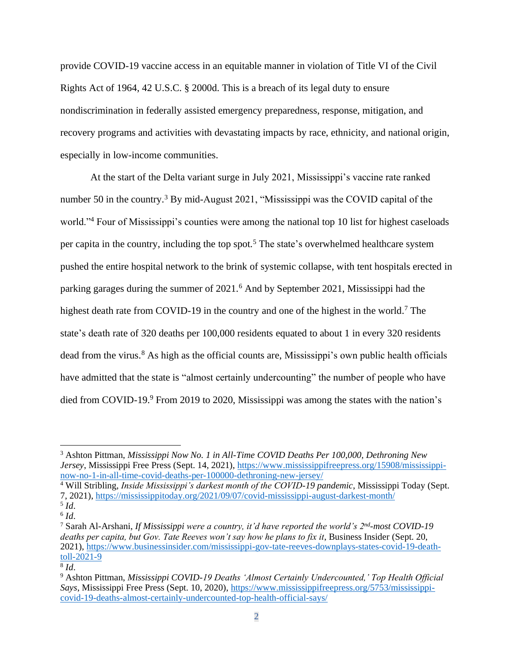provide COVID-19 vaccine access in an equitable manner in violation of Title VI of the Civil Rights Act of 1964, 42 U.S.C. § 2000d. This is a breach of its legal duty to ensure nondiscrimination in federally assisted emergency preparedness, response, mitigation, and recovery programs and activities with devastating impacts by race, ethnicity, and national origin, especially in low-income communities.

At the start of the Delta variant surge in July 2021, Mississippi's vaccine rate ranked number 50 in the country.<sup>3</sup> By mid-August 2021, "Mississippi was the COVID capital of the world."<sup>4</sup> Four of Mississippi's counties were among the national top 10 list for highest caseloads per capita in the country, including the top spot.<sup>5</sup> The state's overwhelmed healthcare system pushed the entire hospital network to the brink of systemic collapse, with tent hospitals erected in parking garages during the summer of 2021.<sup>6</sup> And by September 2021, Mississippi had the highest death rate from COVID-19 in the country and one of the highest in the world.<sup>7</sup> The state's death rate of 320 deaths per 100,000 residents equated to about 1 in every 320 residents dead from the virus.<sup>8</sup> As high as the official counts are, Mississippi's own public health officials have admitted that the state is "almost certainly undercounting" the number of people who have died from COVID-19.<sup>9</sup> From 2019 to 2020, Mississippi was among the states with the nation's

<sup>3</sup> Ashton Pittman, *Mississippi Now No. 1 in All-Time COVID Deaths Per 100,000, Dethroning New Jersey*, Mississippi Free Press (Sept. 14, 2021), [https://www.mississippifreepress.org/15908/mississippi](https://www.mississippifreepress.org/15908/mississippi-now-no-1-in-all-time-covid-deaths-per-100000-dethroning-new-jersey/)[now-no-1-in-all-time-covid-deaths-per-100000-dethroning-new-jersey/](https://www.mississippifreepress.org/15908/mississippi-now-no-1-in-all-time-covid-deaths-per-100000-dethroning-new-jersey/)

<sup>4</sup> Will Stribling, *Inside Mississippi's darkest month of the COVID-19 pandemic*, Mississippi Today (Sept. 7, 2021),<https://mississippitoday.org/2021/09/07/covid-mississippi-august-darkest-month/> 5 *Id*.

<sup>6</sup> *Id*.

<sup>7</sup> Sarah Al-Arshani, *If Mississippi were a country, it'd have reported the world's 2nd -most COVID-19 deaths per capita, but Gov. Tate Reeves won't say how he plans to fix it*, Business Insider (Sept. 20, 2021), [https://www.businessinsider.com/mississippi-gov-tate-reeves-downplays-states-covid-19-death](https://www.businessinsider.com/mississippi-gov-tate-reeves-downplays-states-covid-19-death-toll-2021-9)[toll-2021-9](https://www.businessinsider.com/mississippi-gov-tate-reeves-downplays-states-covid-19-death-toll-2021-9)

<sup>8</sup> *Id*.

<sup>9</sup> Ashton Pittman, *Mississippi COVID-19 Deaths 'Almost Certainly Undercounted,' Top Health Official Says*, Mississippi Free Press (Sept. 10, 2020), [https://www.mississippifreepress.org/5753/mississippi](https://www.mississippifreepress.org/5753/mississippi-covid-19-deaths-almost-certainly-undercounted-top-health-official-says/)[covid-19-deaths-almost-certainly-undercounted-top-health-official-says/](https://www.mississippifreepress.org/5753/mississippi-covid-19-deaths-almost-certainly-undercounted-top-health-official-says/)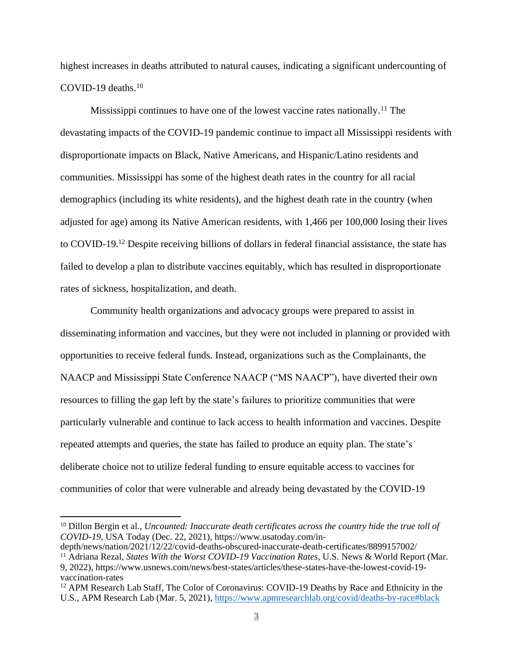highest increases in deaths attributed to natural causes, indicating a significant undercounting of COVID-19 deaths.<sup>10</sup>

Mississippi continues to have one of the lowest vaccine rates nationally.<sup>11</sup> The devastating impacts of the COVID-19 pandemic continue to impact all Mississippi residents with disproportionate impacts on Black, Native Americans, and Hispanic/Latino residents and communities. Mississippi has some of the highest death rates in the country for all racial demographics (including its white residents), and the highest death rate in the country (when adjusted for age) among its Native American residents, with 1,466 per 100,000 losing their lives to COVID-19.<sup>12</sup> Despite receiving billions of dollars in federal financial assistance, the state has failed to develop a plan to distribute vaccines equitably, which has resulted in disproportionate rates of sickness, hospitalization, and death.

Community health organizations and advocacy groups were prepared to assist in disseminating information and vaccines, but they were not included in planning or provided with opportunities to receive federal funds. Instead, organizations such as the Complainants, the NAACP and Mississippi State Conference NAACP ("MS NAACP"), have diverted their own resources to filling the gap left by the state's failures to prioritize communities that were particularly vulnerable and continue to lack access to health information and vaccines. Despite repeated attempts and queries, the state has failed to produce an equity plan. The state's deliberate choice not to utilize federal funding to ensure equitable access to vaccines for communities of color that were vulnerable and already being devastated by the COVID-19

<sup>10</sup> Dillon Bergin et al., *Uncounted: Inaccurate death certificates across the country hide the true toll of COVID-19*, USA Today (Dec. 22, 2021), https://www.usatoday.com/in-

depth/news/nation/2021/12/22/covid-deaths-obscured-inaccurate-death-certificates/8899157002/ <sup>11</sup> Adriana Rezal, *States With the Worst COVID-19 Vaccination Rates*, U.S. News & World Report (Mar. 9, 2022), https://www.usnews.com/news/best-states/articles/these-states-have-the-lowest-covid-19-

vaccination-rates

<sup>&</sup>lt;sup>12</sup> APM Research Lab Staff, The Color of Coronavirus: COVID-19 Deaths by Race and Ethnicity in the U.S., APM Research Lab (Mar. 5, 2021),<https://www.apmresearchlab.org/covid/deaths-by-race#black>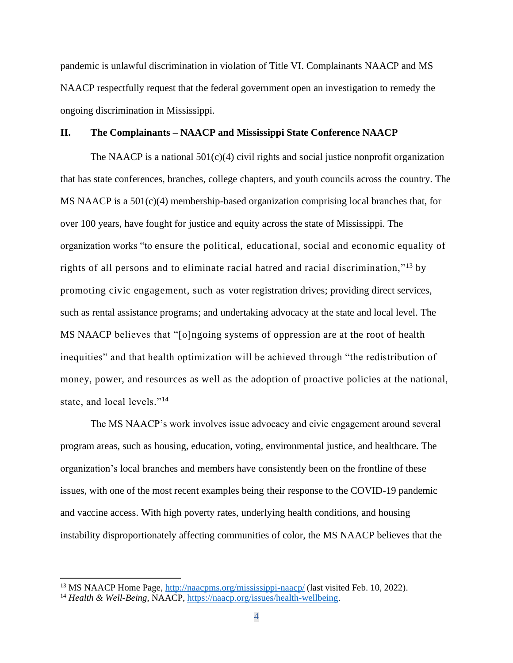pandemic is unlawful discrimination in violation of Title VI. Complainants NAACP and MS NAACP respectfully request that the federal government open an investigation to remedy the ongoing discrimination in Mississippi.

## **II. The Complainants – NAACP and Mississippi State Conference NAACP**

The NAACP is a national  $501(c)(4)$  civil rights and social justice nonprofit organization that has state conferences, branches, college chapters, and youth councils across the country. The MS NAACP is a  $501(c)(4)$  membership-based organization comprising local branches that, for over 100 years, have fought for justice and equity across the state of Mississippi. The organization works "to ensure the political, educational, social and economic equality of rights of all persons and to eliminate racial hatred and racial discrimination,"<sup>13</sup> by promoting civic engagement, such as voter registration drives; providing direct services, such as rental assistance programs; and undertaking advocacy at the state and local level. The MS NAACP believes that "[o]ngoing systems of oppression are at the root of health inequities" and that health optimization will be achieved through "the redistribution of money, power, and resources as well as the adoption of proactive policies at the national, state, and local levels."<sup>14</sup>

The MS NAACP's work involves issue advocacy and civic engagement around several program areas, such as housing, education, voting, environmental justice, and healthcare. The organization's local branches and members have consistently been on the frontline of these issues, with one of the most recent examples being their response to the COVID-19 pandemic and vaccine access. With high poverty rates, underlying health conditions, and housing instability disproportionately affecting communities of color, the MS NAACP believes that the

<sup>13</sup> MS NAACP Home Page,<http://naacpms.org/mississippi-naacp/> (last visited Feb. 10, 2022).

<sup>14</sup> *Health & Well-Being*, NAACP, [https://naacp.org/issues/health-wellbeing.](https://naacp.org/issues/health-wellbeing)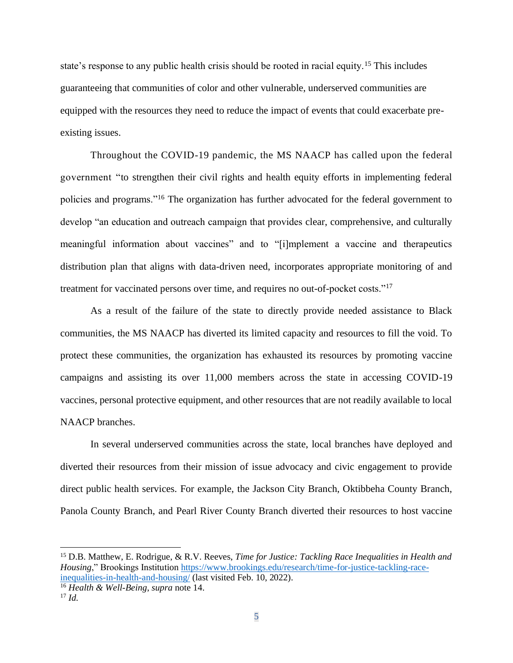state's response to any public health crisis should be rooted in racial equity.<sup>15</sup> This includes guaranteeing that communities of color and other vulnerable, underserved communities are equipped with the resources they need to reduce the impact of events that could exacerbate preexisting issues.

Throughout the COVID-19 pandemic, the MS NAACP has called upon the federal government "to strengthen their civil rights and health equity efforts in implementing federal policies and programs."<sup>16</sup> The organization has further advocated for the federal government to develop "an education and outreach campaign that provides clear, comprehensive, and culturally meaningful information about vaccines" and to "[i]mplement a vaccine and therapeutics distribution plan that aligns with data-driven need, incorporates appropriate monitoring of and treatment for vaccinated persons over time, and requires no out-of-pocket costs."<sup>17</sup>

As a result of the failure of the state to directly provide needed assistance to Black communities, the MS NAACP has diverted its limited capacity and resources to fill the void. To protect these communities, the organization has exhausted its resources by promoting vaccine campaigns and assisting its over 11,000 members across the state in accessing COVID-19 vaccines, personal protective equipment, and other resources that are not readily available to local NAACP branches.

In several underserved communities across the state, local branches have deployed and diverted their resources from their mission of issue advocacy and civic engagement to provide direct public health services. For example, the Jackson City Branch, Oktibbeha County Branch, Panola County Branch, and Pearl River County Branch diverted their resources to host vaccine

<sup>15</sup> D.B. Matthew, E. Rodrigue, & R.V. Reeves, *Time for Justice: Tackling Race Inequalities in Health and Housing*," Brookings Institution [https://www.brookings.edu/research/time-for-justice-tackling-race](https://www.brookings.edu/research/time-for-justice-tackling-race-inequalities-in-health-and-housing/)[inequalities-in-health-and-housing/](https://www.brookings.edu/research/time-for-justice-tackling-race-inequalities-in-health-and-housing/) (last visited Feb. 10, 2022).

<sup>16</sup> *Health & Well-Being*, *supra* note 14.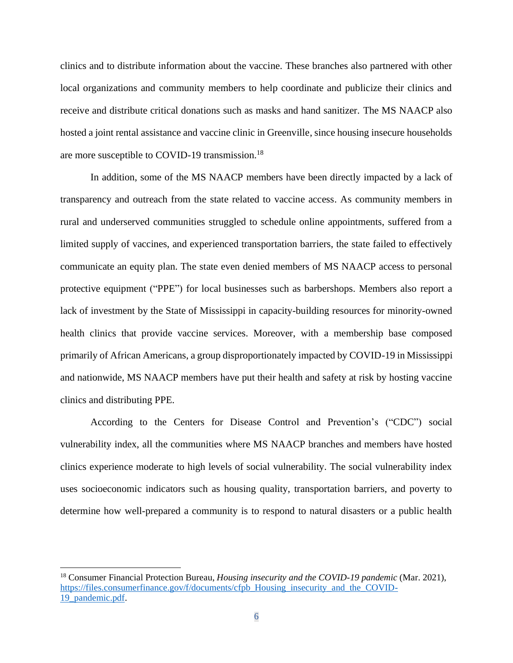clinics and to distribute information about the vaccine. These branches also partnered with other local organizations and community members to help coordinate and publicize their clinics and receive and distribute critical donations such as masks and hand sanitizer. The MS NAACP also hosted a joint rental assistance and vaccine clinic in Greenville, since housing insecure households are more susceptible to COVID-19 transmission.<sup>18</sup>

In addition, some of the MS NAACP members have been directly impacted by a lack of transparency and outreach from the state related to vaccine access. As community members in rural and underserved communities struggled to schedule online appointments, suffered from a limited supply of vaccines, and experienced transportation barriers, the state failed to effectively communicate an equity plan. The state even denied members of MS NAACP access to personal protective equipment ("PPE") for local businesses such as barbershops. Members also report a lack of investment by the State of Mississippi in capacity-building resources for minority-owned health clinics that provide vaccine services. Moreover, with a membership base composed primarily of African Americans, a group disproportionately impacted by COVID-19 in Mississippi and nationwide, MS NAACP members have put their health and safety at risk by hosting vaccine clinics and distributing PPE.

According to the Centers for Disease Control and Prevention's ("CDC") social vulnerability index, all the communities where MS NAACP branches and members have hosted clinics experience moderate to high levels of social vulnerability. The social vulnerability index uses socioeconomic indicators such as housing quality, transportation barriers, and poverty to determine how well-prepared a community is to respond to natural disasters or a public health

<sup>18</sup> Consumer Financial Protection Bureau, *Housing insecurity and the COVID-19 pandemic* (Mar. 2021), [https://files.consumerfinance.gov/f/documents/cfpb\\_Housing\\_insecurity\\_and\\_the\\_COVID-](https://files.consumerfinance.gov/f/documents/cfpb_Housing_insecurity_and_the_COVID-19_pandemic.pdf)[19\\_pandemic.pdf.](https://files.consumerfinance.gov/f/documents/cfpb_Housing_insecurity_and_the_COVID-19_pandemic.pdf)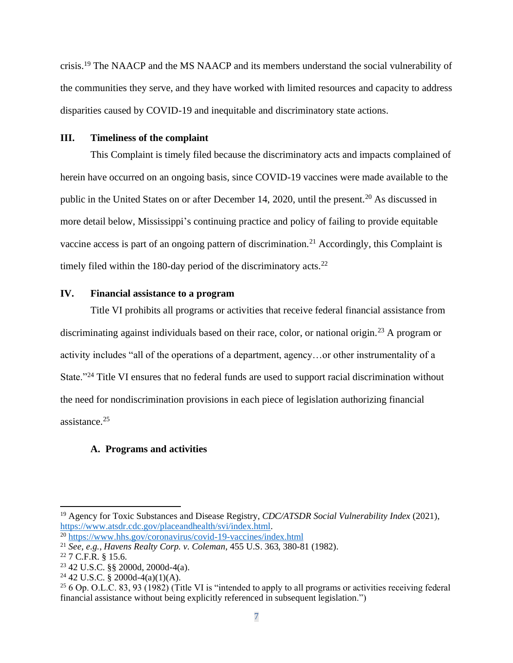crisis.<sup>19</sup> The NAACP and the MS NAACP and its members understand the social vulnerability of the communities they serve, and they have worked with limited resources and capacity to address disparities caused by COVID-19 and inequitable and discriminatory state actions.

## **III. Timeliness of the complaint**

This Complaint is timely filed because the discriminatory acts and impacts complained of herein have occurred on an ongoing basis, since COVID-19 vaccines were made available to the public in the United States on or after December 14, 2020, until the present.<sup>20</sup> As discussed in more detail below, Mississippi's continuing practice and policy of failing to provide equitable vaccine access is part of an ongoing pattern of discrimination.<sup>21</sup> Accordingly, this Complaint is timely filed within the 180-day period of the discriminatory acts.<sup>22</sup>

## **IV. Financial assistance to a program**

Title VI prohibits all programs or activities that receive federal financial assistance from discriminating against individuals based on their race, color, or national origin.<sup>23</sup> A program or activity includes "all of the operations of a department, agency…or other instrumentality of a State."<sup>24</sup> Title VI ensures that no federal funds are used to support racial discrimination without the need for nondiscrimination provisions in each piece of legislation authorizing financial assistance.<sup>25</sup>

## **A. Programs and activities**

<sup>19</sup> Agency for Toxic Substances and Disease Registry, *CDC/ATSDR Social Vulnerability Index* (2021), [https://www.atsdr.cdc.gov/placeandhealth/svi/index.html.](https://www.atsdr.cdc.gov/placeandhealth/svi/index.html)

<sup>20</sup> <https://www.hhs.gov/coronavirus/covid-19-vaccines/index.html>

<sup>21</sup> *See, e.g.*, *Havens Realty Corp. v. Coleman*, 455 U.S. 363, 380-81 (1982).

<sup>22</sup> 7 C.F.R. § 15.6.

<sup>23</sup> 42 U.S.C. §§ 2000d, 2000d-4(a).

 $24$  42 U.S.C. § 2000d-4(a)(1)(A).

<sup>25</sup> 6 Op. O.L.C. 83, 93 (1982) (Title VI is "intended to apply to all programs or activities receiving federal financial assistance without being explicitly referenced in subsequent legislation.")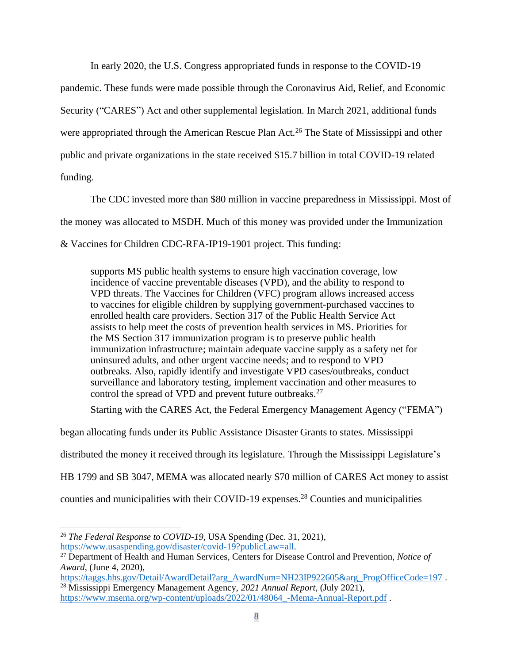In early 2020, the U.S. Congress appropriated funds in response to the COVID-19

pandemic. These funds were made possible through the Coronavirus Aid, Relief, and Economic Security ("CARES") Act and other supplemental legislation. In March 2021, additional funds were appropriated through the American Rescue Plan Act.<sup>26</sup> The State of Mississippi and other public and private organizations in the state received \$15.7 billion in total COVID-19 related funding.

The CDC invested more than \$80 million in vaccine preparedness in Mississippi. Most of the money was allocated to MSDH. Much of this money was provided under the Immunization & Vaccines for Children CDC-RFA-IP19-1901 project. This funding:

supports MS public health systems to ensure high vaccination coverage, low incidence of vaccine preventable diseases (VPD), and the ability to respond to VPD threats. The Vaccines for Children (VFC) program allows increased access to vaccines for eligible children by supplying government-purchased vaccines to enrolled health care providers. Section 317 of the Public Health Service Act assists to help meet the costs of prevention health services in MS. Priorities for the MS Section 317 immunization program is to preserve public health immunization infrastructure; maintain adequate vaccine supply as a safety net for uninsured adults, and other urgent vaccine needs; and to respond to VPD outbreaks. Also, rapidly identify and investigate VPD cases/outbreaks, conduct surveillance and laboratory testing, implement vaccination and other measures to control the spread of VPD and prevent future outbreaks.<sup>27</sup>

Starting with the CARES Act, the Federal Emergency Management Agency ("FEMA")

began allocating funds under its Public Assistance Disaster Grants to states. Mississippi

distributed the money it received through its legislature. Through the Mississippi Legislature's

HB 1799 and SB 3047, MEMA was allocated nearly \$70 million of CARES Act money to assist

counties and municipalities with their COVID-19 expenses. <sup>28</sup> Counties and municipalities

<sup>26</sup> *The Federal Response to COVID-19*, USA Spending (Dec. 31, 2021), [https://www.usaspending.gov/disaster/covid-19?publicLaw=all.](https://www.usaspending.gov/disaster/covid-19?publicLaw=all)

<sup>27</sup> Department of Health and Human Services, Centers for Disease Control and Prevention, *Notice of Award,* (June 4, 2020),

[https://taggs.hhs.gov/Detail/AwardDetail?arg\\_AwardNum=NH23IP922605&arg\\_ProgOfficeCode=197](https://taggs.hhs.gov/Detail/AwardDetail?arg_AwardNum=NH23IP922605&arg_ProgOfficeCode=197). <sup>28</sup> Mississippi Emergency Management Agency, *2021 Annual Report*, (July 2021), [https://www.msema.org/wp-content/uploads/2022/01/48064\\_-Mema-Annual-Report.pdf](https://www.msema.org/wp-content/uploads/2022/01/48064_-Mema-Annual-Report.pdf) .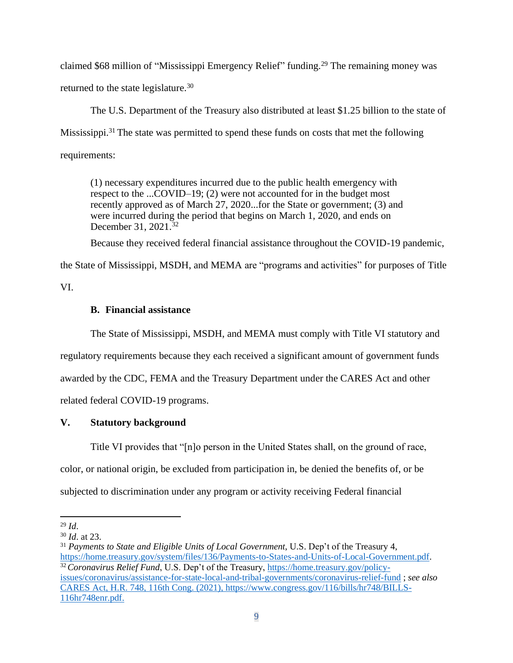claimed \$68 million of "Mississippi Emergency Relief" funding.<sup>29</sup> The remaining money was returned to the state legislature.<sup>30</sup>

The U.S. Department of the Treasury also distributed at least \$1.25 billion to the state of Mississippi.<sup>31</sup> The state was permitted to spend these funds on costs that met the following requirements:

(1) necessary expenditures incurred due to the public health emergency with respect to the ...COVID–19; (2) were not accounted for in the budget most recently approved as of March 27, 2020...for the State or government; (3) and were incurred during the period that begins on March 1, 2020, and ends on December 31, 2021.<sup>32</sup>

Because they received federal financial assistance throughout the COVID-19 pandemic,

the State of Mississippi, MSDH, and MEMA are "programs and activities" for purposes of Title

VI.

# **B. Financial assistance**

The State of Mississippi, MSDH, and MEMA must comply with Title VI statutory and regulatory requirements because they each received a significant amount of government funds awarded by the CDC, FEMA and the Treasury Department under the CARES Act and other related federal COVID-19 programs.

# **V. Statutory background**

Title VI provides that "[n]o person in the United States shall, on the ground of race, color, or national origin, be excluded from participation in, be denied the benefits of, or be subjected to discrimination under any program or activity receiving Federal financial

<sup>29</sup> *Id*.

<sup>30</sup> *Id*. at 23.

<sup>31</sup> *Payments to State and Eligible Units of Local Government*, U.S. Dep't of the Treasury 4, [https://home.treasury.gov/system/files/136/Payments-to-States-and-Units-of-Local-Government.pdf.](https://home.treasury.gov/system/files/136/Payments-to-States-and-Units-of-Local-Government.pdf) <sup>32</sup> Coronavirus Relief Fund, U.S. Dep't of the Treasury, [https://home.treasury.gov/policy](https://home.treasury.gov/policy-issues/coronavirus/assistance-for-state-local-and-tribal-governments/coronavirus-relief-fund)[issues/coronavirus/assistance-for-state-local-and-tribal-governments/coronavirus-relief-fund](https://home.treasury.gov/policy-issues/coronavirus/assistance-for-state-local-and-tribal-governments/coronavirus-relief-fund) ; *see also* CARES Act, H.R. 748, 116th Cong. (2021), [https://www.congress.gov/116/bills/hr748/BILLS-](https://www.congress.gov/116/bills/hr748/BILLS-116hr748enr.pdf)[116hr748enr.pdf.](https://www.congress.gov/116/bills/hr748/BILLS-116hr748enr.pdf)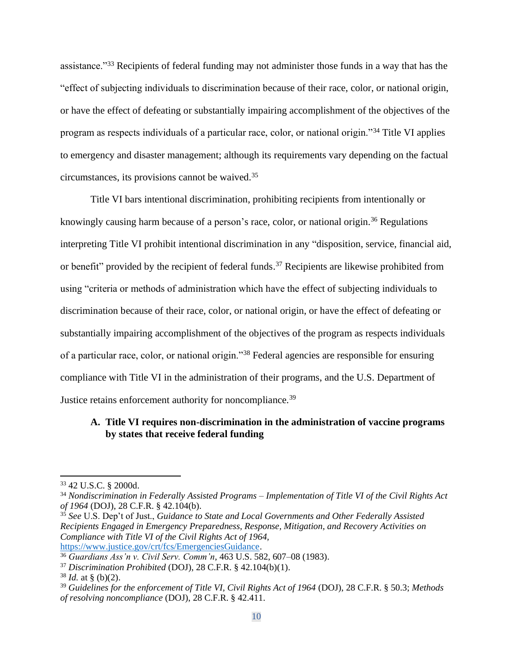assistance."<sup>33</sup> Recipients of federal funding may not administer those funds in a way that has the "effect of subjecting individuals to discrimination because of their race, color, or national origin, or have the effect of defeating or substantially impairing accomplishment of the objectives of the program as respects individuals of a particular race, color, or national origin."<sup>34</sup> Title VI applies to emergency and disaster management; although its requirements vary depending on the factual circumstances, its provisions cannot be waived.<sup>35</sup>

Title VI bars intentional discrimination, prohibiting recipients from intentionally or knowingly causing harm because of a person's race, color, or national origin.<sup>36</sup> Regulations interpreting Title VI prohibit intentional discrimination in any "disposition, service, financial aid, or benefit" provided by the recipient of federal funds.<sup>37</sup> Recipients are likewise prohibited from using "criteria or methods of administration which have the effect of subjecting individuals to discrimination because of their race, color, or national origin, or have the effect of defeating or substantially impairing accomplishment of the objectives of the program as respects individuals of a particular race, color, or national origin."<sup>38</sup> Federal agencies are responsible for ensuring compliance with Title VI in the administration of their programs, and the U.S. Department of Justice retains enforcement authority for noncompliance.<sup>39</sup>

## **A. Title VI requires non-discrimination in the administration of vaccine programs by states that receive federal funding**

<sup>33</sup> 42 U.S.C. § 2000d.

<sup>34</sup> *Nondiscrimination in Federally Assisted Programs – Implementation of Title VI of the Civil Rights Act of 1964* (DOJ), 28 C.F.R. § 42.104(b).

<sup>35</sup> *See* U.S. Dep't of Just., *Guidance to State and Local Governments and Other Federally Assisted Recipients Engaged in Emergency Preparedness, Response, Mitigation, and Recovery Activities on Compliance with Title VI of the Civil Rights Act of 1964,*  [https://www.justice.gov/crt/fcs/EmergenciesGuidance.](https://www.justice.gov/crt/fcs/EmergenciesGuidance)

<sup>36</sup> *Guardians Ass'n v. Civil Serv. Comm'n*, 463 U.S. 582, 607–08 (1983).

<sup>37</sup> *Discrimination Prohibited* (DOJ), 28 C.F.R. § 42.104(b)(1).

 $38$  *Id.* at § (b)(2).

<sup>39</sup> *Guidelines for the enforcement of Title VI, Civil Rights Act of 1964* (DOJ), 28 C.F.R. § 50.3; *Methods of resolving noncompliance* (DOJ), 28 C.F.R. § 42.411.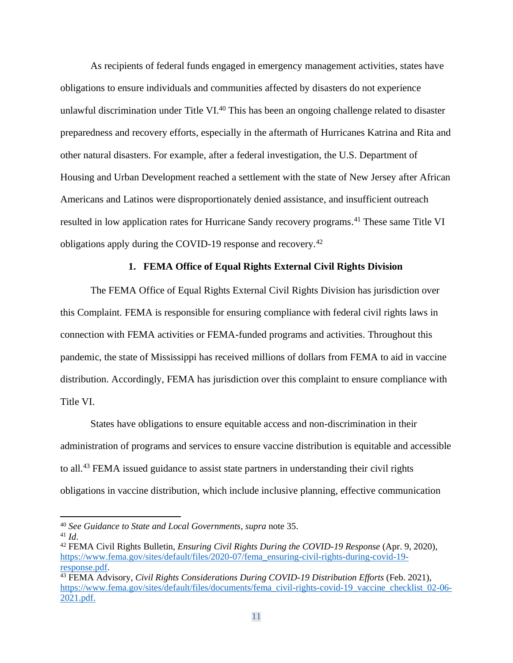As recipients of federal funds engaged in emergency management activities, states have obligations to ensure individuals and communities affected by disasters do not experience unlawful discrimination under Title VI.<sup>40</sup> This has been an ongoing challenge related to disaster preparedness and recovery efforts, especially in the aftermath of Hurricanes Katrina and Rita and other natural disasters. For example, after a federal investigation, the U.S. Department of Housing and Urban Development reached a settlement with the state of New Jersey after African Americans and Latinos were disproportionately denied assistance, and insufficient outreach resulted in low application rates for Hurricane Sandy recovery programs. <sup>41</sup> These same Title VI obligations apply during the COVID-19 response and recovery.<sup>42</sup>

### **1. FEMA Office of Equal Rights External Civil Rights Division**

The FEMA Office of Equal Rights External Civil Rights Division has jurisdiction over this Complaint. FEMA is responsible for ensuring compliance with federal civil rights laws in connection with FEMA activities or FEMA-funded programs and activities. Throughout this pandemic, the state of Mississippi has received millions of dollars from FEMA to aid in vaccine distribution. Accordingly, FEMA has jurisdiction over this complaint to ensure compliance with Title VI.

States have obligations to ensure equitable access and non-discrimination in their administration of programs and services to ensure vaccine distribution is equitable and accessible to all.<sup>43</sup> FEMA issued guidance to assist state partners in understanding their civil rights obligations in vaccine distribution, which include inclusive planning, effective communication

<sup>40</sup> *See Guidance to State and Local Governments*, *supra* note 35.

<sup>41</sup> *Id*.

<sup>42</sup> FEMA Civil Rights Bulletin, *Ensuring Civil Rights During the COVID-19 Response* (Apr. 9, 2020), [https://www.fema.gov/sites/default/files/2020-07/fema\\_ensuring-civil-rights-during-covid-19](https://www.fema.gov/sites/default/files/2020-07/fema_ensuring-civil-rights-during-covid-19-response.pdf) [response.pdf.](https://www.fema.gov/sites/default/files/2020-07/fema_ensuring-civil-rights-during-covid-19-response.pdf)

<sup>43</sup> FEMA Advisory, *Civil Rights Considerations During COVID-19 Distribution Efforts* (Feb. 2021), [https://www.fema.gov/sites/default/files/documents/fema\\_civil-rights-covid-19\\_vaccine\\_checklist\\_02-06-](https://www.fema.gov/sites/default/files/documents/fema_civil-rights-covid-19_vaccine_checklist_02-06-2021.pdf) [2021.pdf.](https://www.fema.gov/sites/default/files/documents/fema_civil-rights-covid-19_vaccine_checklist_02-06-2021.pdf)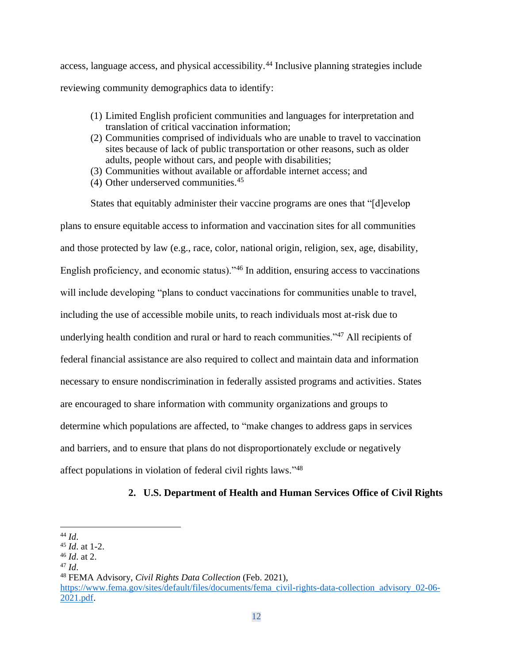access, language access, and physical accessibility.<sup>44</sup> Inclusive planning strategies include reviewing community demographics data to identify:

- (1) Limited English proficient communities and languages for interpretation and translation of critical vaccination information;
- (2) Communities comprised of individuals who are unable to travel to vaccination sites because of lack of public transportation or other reasons, such as older adults, people without cars, and people with disabilities;
- (3) Communities without available or affordable internet access; and
- $(4)$  Other underserved communities.<sup>45</sup>

States that equitably administer their vaccine programs are ones that "[d]evelop plans to ensure equitable access to information and vaccination sites for all communities and those protected by law (e.g., race, color, national origin, religion, sex, age, disability, English proficiency, and economic status)."<sup>46</sup> In addition, ensuring access to vaccinations will include developing "plans to conduct vaccinations for communities unable to travel, including the use of accessible mobile units, to reach individuals most at-risk due to underlying health condition and rural or hard to reach communities."<sup>47</sup> All recipients of federal financial assistance are also required to collect and maintain data and information necessary to ensure nondiscrimination in federally assisted programs and activities. States are encouraged to share information with community organizations and groups to determine which populations are affected, to "make changes to address gaps in services and barriers, and to ensure that plans do not disproportionately exclude or negatively affect populations in violation of federal civil rights laws."<sup>48</sup>

## **2. U.S. Department of Health and Human Services Office of Civil Rights**

<sup>44</sup> *Id*.

<sup>45</sup> *Id*. at 1-2.

<sup>46</sup> *Id*. at 2.

<sup>47</sup> *Id*.

<sup>48</sup> FEMA Advisory, *Civil Rights Data Collection* (Feb. 2021), [https://www.fema.gov/sites/default/files/documents/fema\\_civil-rights-data-collection\\_advisory\\_02-06-](https://www.fema.gov/sites/default/files/documents/fema_civil-rights-data-collection_advisory_02-06-2021.pdf) [2021.pdf.](https://www.fema.gov/sites/default/files/documents/fema_civil-rights-data-collection_advisory_02-06-2021.pdf)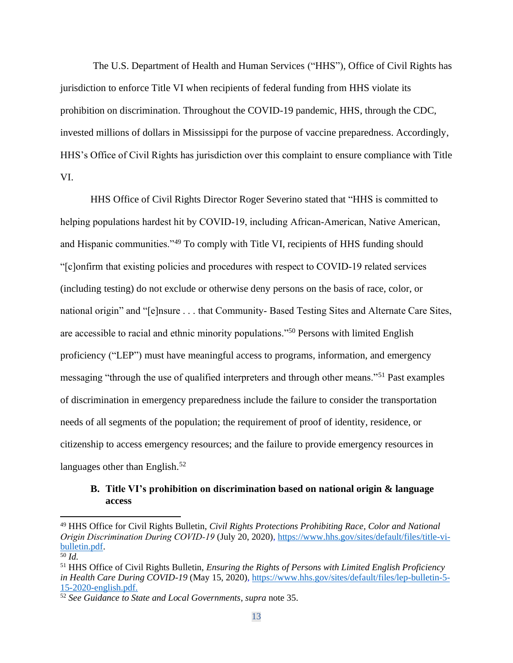The U.S. Department of Health and Human Services ("HHS"), Office of Civil Rights has jurisdiction to enforce Title VI when recipients of federal funding from HHS violate its prohibition on discrimination. Throughout the COVID-19 pandemic, HHS, through the CDC, invested millions of dollars in Mississippi for the purpose of vaccine preparedness. Accordingly, HHS's Office of Civil Rights has jurisdiction over this complaint to ensure compliance with Title VI.

HHS Office of Civil Rights Director Roger Severino stated that "HHS is committed to helping populations hardest hit by COVID-19, including African-American, Native American, and Hispanic communities."<sup>49</sup> To comply with Title VI, recipients of HHS funding should "[c]onfirm that existing policies and procedures with respect to COVID‐19 related services (including testing) do not exclude or otherwise deny persons on the basis of race, color, or national origin" and "[e]nsure . . . that Community- Based Testing Sites and Alternate Care Sites, are accessible to racial and ethnic minority populations."<sup>50</sup> Persons with limited English proficiency ("LEP") must have meaningful access to programs, information, and emergency messaging "through the use of qualified interpreters and through other means."<sup>51</sup> Past examples of discrimination in emergency preparedness include the failure to consider the transportation needs of all segments of the population; the requirement of proof of identity, residence, or citizenship to access emergency resources; and the failure to provide emergency resources in languages other than English. $52$ 

## **B. Title VI's prohibition on discrimination based on national origin & language access**

<sup>49</sup> HHS Office for Civil Rights Bulletin, *Civil Rights Protections Prohibiting Race, Color and National Origin Discrimination During COVID‐19* (July 20, 2020), [https://www.hhs.gov/sites/default/files/title-vi](https://www.hhs.gov/sites/default/files/title-vi-bulletin.pdf)[bulletin.pdf.](https://www.hhs.gov/sites/default/files/title-vi-bulletin.pdf)

<sup>50</sup> *Id.*

<sup>51</sup> HHS Office of Civil Rights Bulletin, *Ensuring the Rights of Persons with Limited English Proficiency in Health Care During COVID-19* (May 15, 2020)[, https://www.hhs.gov/sites/default/files/lep-bulletin-5-](https://www.hhs.gov/sites/default/files/lep-bulletin-5-15-2020-english.pdf) [15-2020-english.pdf.](https://www.hhs.gov/sites/default/files/lep-bulletin-5-15-2020-english.pdf)

<sup>52</sup> *See Guidance to State and Local Governments*, *supra* note 35.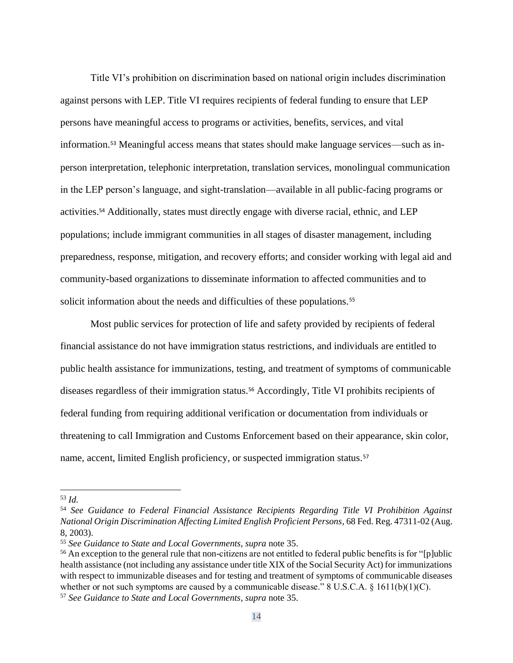Title VI's prohibition on discrimination based on national origin includes discrimination against persons with LEP. Title VI requires recipients of federal funding to ensure that LEP persons have meaningful access to programs or activities, benefits, services, and vital information.<sup>53</sup> Meaningful access means that states should make language services—such as inperson interpretation, telephonic interpretation, translation services, monolingual communication in the LEP person's language, and sight-translation—available in all public-facing programs or activities.<sup>54</sup> Additionally, states must directly engage with diverse racial, ethnic, and LEP populations; include immigrant communities in all stages of disaster management, including preparedness, response, mitigation, and recovery efforts; and consider working with legal aid and community-based organizations to disseminate information to affected communities and to solicit information about the needs and difficulties of these populations.<sup>55</sup>

Most public services for protection of life and safety provided by recipients of federal financial assistance do not have immigration status restrictions, and individuals are entitled to public health assistance for immunizations, testing, and treatment of symptoms of communicable diseases regardless of their immigration status.<sup>56</sup> Accordingly, Title VI prohibits recipients of federal funding from requiring additional verification or documentation from individuals or threatening to call Immigration and Customs Enforcement based on their appearance, skin color, name, accent, limited English proficiency, or suspected immigration status.<sup>57</sup>

<sup>53</sup> *Id.*

<sup>54</sup> *See Guidance to Federal Financial Assistance Recipients Regarding Title VI Prohibition Against National Origin Discrimination Affecting Limited English Proficient Persons*, 68 Fed. Reg. 47311-02 (Aug. 8, 2003).

<sup>55</sup> *See Guidance to State and Local Governments*, *supra* note 35.

<sup>&</sup>lt;sup>56</sup> An exception to the general rule that non-citizens are not entitled to federal public benefits is for "[p]ublic health assistance (not including any assistance under title XIX of the Social Security Act) for immunizations with respect to immunizable diseases and for testing and treatment of symptoms of communicable diseases whether or not such symptoms are caused by a communicable disease." 8 U.S.C.A. § 1611(b)(1)(C).

<sup>57</sup> *See Guidance to State and Local Governments*, *supra* note 35.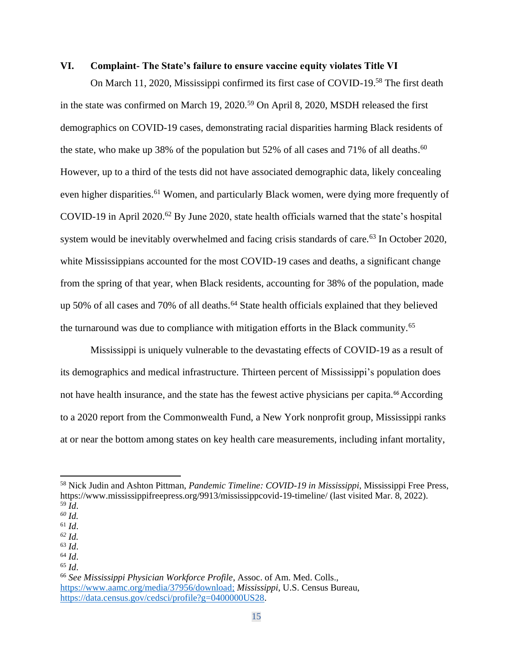## **VI. Complaint- The State's failure to ensure vaccine equity violates Title VI**

On March 11, 2020, Mississippi confirmed its first case of COVID-19.<sup>58</sup> The first death in the state was confirmed on March 19, 2020.<sup>59</sup> On April 8, 2020, MSDH released the first demographics on COVID-19 cases, demonstrating racial disparities harming Black residents of the state, who make up 38% of the population but 52% of all cases and 71% of all deaths.<sup>60</sup> However, up to a third of the tests did not have associated demographic data, likely concealing even higher disparities.<sup>61</sup> Women, and particularly Black women, were dying more frequently of COVID-19 in April 2020.<sup>62</sup> By June 2020, state health officials warned that the state's hospital system would be inevitably overwhelmed and facing crisis standards of care.<sup>63</sup> In October 2020, white Mississippians accounted for the most COVID-19 cases and deaths, a significant change from the spring of that year, when Black residents, accounting for 38% of the population, made up 50% of all cases and 70% of all deaths.<sup>64</sup> State health officials explained that they believed the turnaround was due to compliance with mitigation efforts in the Black community.<sup>65</sup>

Mississippi is uniquely vulnerable to the devastating effects of COVID-19 as a result of its demographics and medical infrastructure. Thirteen percent of Mississippi's population does not have health insurance, and the state has the fewest active physicians per capita.<sup>66</sup> According to a 2020 report from the Commonwealth Fund, a New York nonprofit group, Mississippi ranks at or near the bottom among states on key health care measurements, including infant mortality,

<sup>58</sup> Nick Judin and Ashton Pittman, *Pandemic Timeline: COVID-19 in Mississippi*, Mississippi Free Press, https://www.mississippifreepress.org/9913/mississippcovid-19-timeline/ (last visited Mar. 8, 2022). <sup>59</sup> *Id*.

*<sup>60</sup> Id.*

 $61$  *Id.* 

*<sup>62</sup> Id.*

<sup>63</sup> *Id*.

<sup>64</sup> *Id*.

<sup>65</sup> *Id*.

<sup>66</sup> *See Mississippi Physician Workforce Profile*, Assoc. of Am. Med. Colls., [https://www.aamc.org/media/37956/download;](https://www.aamc.org/media/37956/download) *Mississippi*, U.S. Census Bureau, [https://data.census.gov/cedsci/profile?g=0400000US28.](https://data.census.gov/cedsci/profile?g=0400000US28)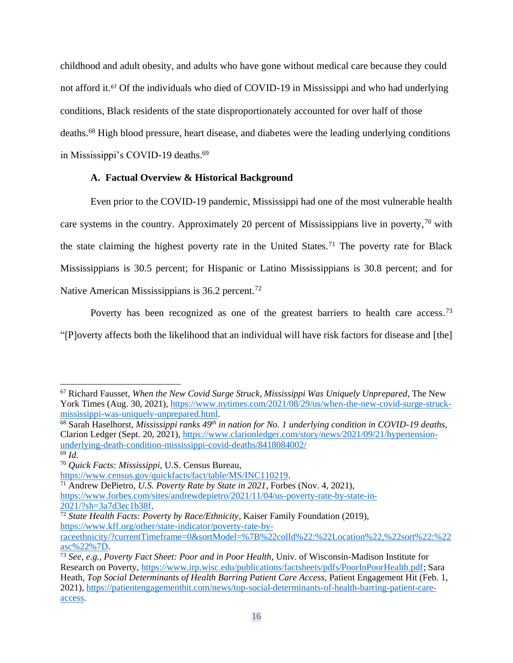childhood and adult obesity, and adults who have gone without medical care because they could not afford it.<sup>67</sup> Of the individuals who died of COVID-19 in Mississippi and who had underlying conditions, Black residents of the state disproportionately accounted for over half of those deaths.<sup>68</sup> High blood pressure, heart disease, and diabetes were the leading underlying conditions in Mississippi's COVID-19 deaths.<sup>69</sup>

# **A. Factual Overview & Historical Background**

Even prior to the COVID-19 pandemic, Mississippi had one of the most vulnerable health care systems in the country. Approximately 20 percent of Mississippians live in poverty,  $\frac{70}{10}$  with the state claiming the highest poverty rate in the United States.<sup>71</sup> The poverty rate for Black Mississippians is 30.5 percent; for Hispanic or Latino Mississippians is 30.8 percent; and for Native American Mississippians is  $36.2$  percent.<sup>72</sup>

Poverty has been recognized as one of the greatest barriers to health care access.<sup>73</sup> "[P]overty affects both the likelihood that an individual will have risk factors for disease and [the]

<sup>68</sup> Sarah Haselhorst, *Mississippi ranks 49th in nation for No. 1 underlying condition in COVID-19 deaths*, Clarion Ledger (Sept. 20, 2021), [https://www.clarionledger.com/story/news/2021/09/21/hypertension](https://www.clarionledger.com/story/news/2021/09/21/hypertension-underlying-death-condition-mississippi-covid-deaths/8418084002/)[underlying-death-condition-mississippi-covid-deaths/8418084002/](https://www.clarionledger.com/story/news/2021/09/21/hypertension-underlying-death-condition-mississippi-covid-deaths/8418084002/)

<sup>67</sup> Richard Fausset, *When the New Covid Surge Struck, Mississippi Was Uniquely Unprepared,* The New York Times (Aug. 30, 2021), [https://www.nytimes.com/2021/08/29/us/when-the-new-covid-surge-struck](https://www.nytimes.com/2021/08/29/us/when-the-new-covid-surge-struck-mississippi-was-uniquely-unprepared.html)[mississippi-was-uniquely-unprepared.html.](https://www.nytimes.com/2021/08/29/us/when-the-new-covid-surge-struck-mississippi-was-uniquely-unprepared.html)

<sup>69</sup> *Id*.

<sup>70</sup> *Quick Facts: Mississippi*, U.S. Census Bureau,

[https://www.census.gov/quickfacts/fact/table/MS/INC110219.](https://www.census.gov/quickfacts/fact/table/MS/INC110219)

<sup>71</sup> Andrew DePietro, *U.S. Poverty Rate by State in 2021*, Forbes (Nov. 4, 2021),

[https://www.forbes.com/sites/andrewdepietro/2021/11/04/us-poverty-rate-by-state-in-](https://www.forbes.com/sites/andrewdepietro/2021/11/04/us-poverty-rate-by-state-in-2021/?sh=3a7d3ec1b38f)[2021/?sh=3a7d3ec1b38f.](https://www.forbes.com/sites/andrewdepietro/2021/11/04/us-poverty-rate-by-state-in-2021/?sh=3a7d3ec1b38f)

<sup>72</sup> *State Health Facts: Poverty by Race/Ethnicity*, Kaiser Family Foundation (2019), [https://www.kff.org/other/state-indicator/poverty-rate-by-](https://www.kff.org/other/state-indicator/poverty-rate-by-raceethnicity/?currentTimeframe=0&sortModel=%7B%22colId%22:%22Location%22,%22sort%22:%22asc%22%7D)

[raceethnicity/?currentTimeframe=0&sortModel=%7B%22colId%22:%22Location%22,%22sort%22:%22](https://www.kff.org/other/state-indicator/poverty-rate-by-raceethnicity/?currentTimeframe=0&sortModel=%7B%22colId%22:%22Location%22,%22sort%22:%22asc%22%7D) [asc%22%7D.](https://www.kff.org/other/state-indicator/poverty-rate-by-raceethnicity/?currentTimeframe=0&sortModel=%7B%22colId%22:%22Location%22,%22sort%22:%22asc%22%7D)

<sup>73</sup> *See, e.g., Poverty Fact Sheet: Poor and in Poor Health*, Univ. of Wisconsin-Madison Institute for Research on Poverty, [https://www.irp.wisc.edu/publications/factsheets/pdfs/PoorInPoorHealth.pdf;](https://www.irp.wisc.edu/publications/factsheets/pdfs/PoorInPoorHealth.pdf) Sara Heath, *Top Social Determinants of Health Barring Patient Care Access*, Patient Engagement Hit (Feb. 1, 2021), [https://patientengagementhit.com/news/top-social-determinants-of-health-barring-patient-care](https://patientengagementhit.com/news/top-social-determinants-of-health-barring-patient-care-access)[access.](https://patientengagementhit.com/news/top-social-determinants-of-health-barring-patient-care-access)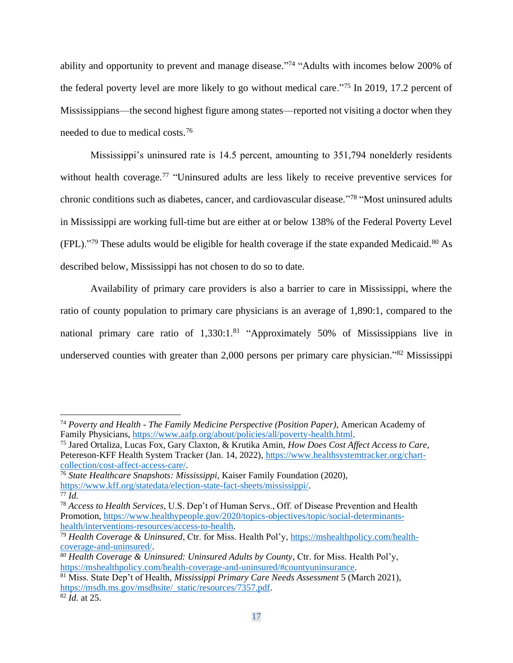ability and opportunity to prevent and manage disease."<sup>74</sup> "Adults with incomes below 200% of the federal poverty level are more likely to go without medical care."<sup>75</sup> In 2019, 17.2 percent of Mississippians—the second highest figure among states—reported not visiting a doctor when they needed to due to medical costs.<sup>76</sup>

Mississippi's uninsured rate is 14.5 percent, amounting to 351,794 nonelderly residents without health coverage.<sup>77</sup> "Uninsured adults are less likely to receive preventive services for chronic conditions such as diabetes, cancer, and cardiovascular disease."<sup>78</sup> "Most uninsured adults in Mississippi are working full-time but are either at or below 138% of the Federal Poverty Level (FPL)."<sup>79</sup> These adults would be eligible for health coverage if the state expanded Medicaid.<sup>80</sup> As described below, Mississippi has not chosen to do so to date.

Availability of primary care providers is also a barrier to care in Mississippi, where the ratio of county population to primary care physicians is an average of 1,890:1, compared to the national primary care ratio of 1,330:1.<sup>81</sup> "Approximately 50% of Mississippians live in underserved counties with greater than 2,000 persons per primary care physician."<sup>82</sup> Mississippi

<sup>74</sup> *Poverty and Health - The Family Medicine Perspective (Position Paper)*, American Academy of Family Physicians, [https://www.aafp.org/about/policies/all/poverty-health.html.](https://www.aafp.org/about/policies/all/poverty-health.html)

<sup>75</sup> Jared Ortaliza, Lucas Fox, Gary Claxton, & Krutika Amin, *How Does Cost Affect Access to Care*, Petereson-KFF Health System Tracker (Jan. 14, 2022), [https://www.healthsystemtracker.org/chart](https://www.healthsystemtracker.org/chart-collection/cost-affect-access-care/)[collection/cost-affect-access-care/.](https://www.healthsystemtracker.org/chart-collection/cost-affect-access-care/)

<sup>76</sup> *State Healthcare Snapshots: Mississippi*, Kaiser Family Foundation (2020), [https://www.kff.org/statedata/election-state-fact-sheets/mississippi/.](https://www.kff.org/statedata/election-state-fact-sheets/mississippi/) <sup>77</sup> *Id.*

<sup>78</sup> *Access to Health Services*, U.S. Dep't of Human Servs., Off. of Disease Prevention and Health Promotion, [https://www.healthypeople.gov/2020/topics-objectives/topic/social-determinants](https://www.healthypeople.gov/2020/topics-objectives/topic/social-determinants-health/interventions-resources/access-to-health)[health/interventions-resources/access-to-health.](https://www.healthypeople.gov/2020/topics-objectives/topic/social-determinants-health/interventions-resources/access-to-health)

<sup>79</sup> *Health Coverage & Uninsured*, Ctr. for Miss. Health Pol'y[, https://mshealthpolicy.com/health](https://mshealthpolicy.com/health-coverage-and-uninsured/)[coverage-and-uninsured/.](https://mshealthpolicy.com/health-coverage-and-uninsured/)

*<sup>80</sup> Health Coverage & Uninsured: Uninsured Adults by County*, Ctr. for Miss. Health Pol'y, [https://mshealthpolicy.com/health-coverage-and-uninsured/#countyuninsurance.](https://mshealthpolicy.com/health-coverage-and-uninsured/#countyuninsurance)

<sup>81</sup> Miss. State Dep't of Health, *Mississippi Primary Care Needs Assessment* 5 (March 2021), [https://msdh.ms.gov/msdhsite/\\_static/resources/7357.pdf.](https://msdh.ms.gov/msdhsite/_static/resources/7357.pdf)

<sup>82</sup> *Id.* at 25.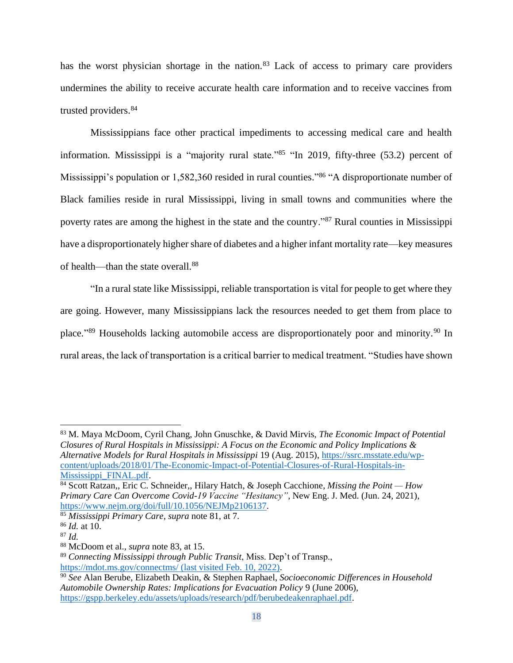has the worst physician shortage in the nation.<sup>83</sup> Lack of access to primary care providers undermines the ability to receive accurate health care information and to receive vaccines from trusted providers.<sup>84</sup>

Mississippians face other practical impediments to accessing medical care and health information. Mississippi is a "majority rural state."<sup>85</sup> "In 2019, fifty-three (53.2) percent of Mississippi's population or 1,582,360 resided in rural counties."<sup>86</sup> "A disproportionate number of Black families reside in rural Mississippi, living in small towns and communities where the poverty rates are among the highest in the state and the country."<sup>87</sup> Rural counties in Mississippi have a disproportionately higher share of diabetes and a higher infant mortality rate—key measures of health—than the state overall.<sup>88</sup>

"In a rural state like Mississippi, reliable transportation is vital for people to get where they are going. However, many Mississippians lack the resources needed to get them from place to place."<sup>89</sup> Households lacking automobile access are disproportionately poor and minority.<sup>90</sup> In rural areas, the lack of transportation is a critical barrier to medical treatment. "Studies have shown

<sup>83</sup> M. Maya McDoom, Cyril Chang, John Gnuschke, & David Mirvis, *The Economic Impact of Potential Closures of Rural Hospitals in Mississippi: A Focus on the Economic and Policy Implications & Alternative Models for Rural Hospitals in Mississippi* 19 (Aug. 2015)[, https://ssrc.msstate.edu/wp](https://ssrc.msstate.edu/wp-content/uploads/2018/01/The-Economic-Impact-of-Potential-Closures-of-Rural-Hospitals-in-Mississippi_FINAL.pdf)[content/uploads/2018/01/The-Economic-Impact-of-Potential-Closures-of-Rural-Hospitals-in-](https://ssrc.msstate.edu/wp-content/uploads/2018/01/The-Economic-Impact-of-Potential-Closures-of-Rural-Hospitals-in-Mississippi_FINAL.pdf)[Mississippi\\_FINAL.pdf.](https://ssrc.msstate.edu/wp-content/uploads/2018/01/The-Economic-Impact-of-Potential-Closures-of-Rural-Hospitals-in-Mississippi_FINAL.pdf)

<sup>84</sup> Scott Ratzan,, Eric C. Schneider,, Hilary Hatch, & Joseph Cacchione, *Missing the Point — How Primary Care Can Overcome Covid-19 Vaccine "Hesitancy"*, New Eng. J. Med. (Jun. 24, 2021), [https://www.nejm.org/doi/full/10.1056/NEJMp2106137.](https://www.nejm.org/doi/full/10.1056/NEJMp2106137)

<sup>85</sup> *Mississippi Primary Care*, *supra* note 81, at 7.

<sup>86</sup> *Id.* at 10.

<sup>87</sup> *Id.*

<sup>88</sup> McDoom et al., *supra* note 83, at 15.

<sup>89</sup> *Connecting Mississippi through Public Transit*, Miss. Dep't of Transp., <https://mdot.ms.gov/connectms/> (last visited Feb. 10, 2022).

<sup>90</sup> *See* Alan Berube, Elizabeth Deakin, & Stephen Raphael, *Socioeconomic Differences in Household Automobile Ownership Rates: Implications for Evacuation Policy* 9 (June 2006), [https://gspp.berkeley.edu/assets/uploads/research/pdf/berubedeakenraphael.pdf.](https://gspp.berkeley.edu/assets/uploads/research/pdf/berubedeakenraphael.pdf)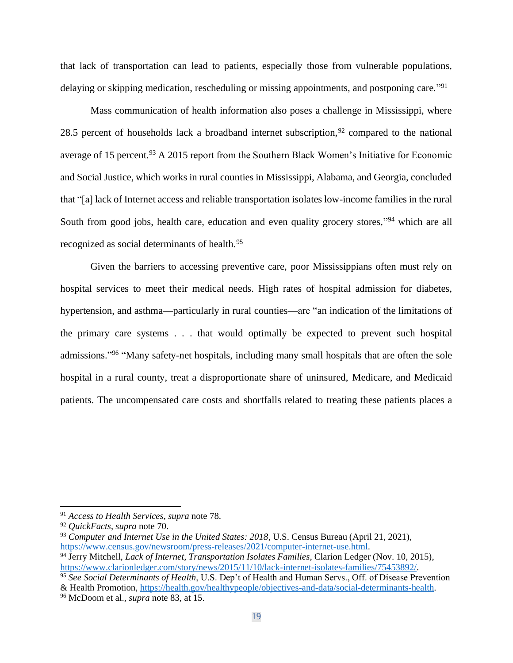that lack of transportation can lead to patients, especially those from vulnerable populations, delaying or skipping medication, rescheduling or missing appointments, and postponing care."<sup>91</sup>

Mass communication of health information also poses a challenge in Mississippi, where 28.5 percent of households lack a broadband internet subscription,  $92$  compared to the national average of 15 percent.<sup>93</sup> A 2015 report from the Southern Black Women's Initiative for Economic and Social Justice, which works in rural counties in Mississippi, Alabama, and Georgia, concluded that "[a] lack of Internet access and reliable transportation isolates low-income families in the rural South from good jobs, health care, education and even quality grocery stores,"<sup>94</sup> which are all recognized as social determinants of health.<sup>95</sup>

Given the barriers to accessing preventive care, poor Mississippians often must rely on hospital services to meet their medical needs. High rates of hospital admission for diabetes, hypertension, and asthma—particularly in rural counties—are "an indication of the limitations of the primary care systems . . . that would optimally be expected to prevent such hospital admissions."<sup>96</sup> "Many safety-net hospitals, including many small hospitals that are often the sole hospital in a rural county, treat a disproportionate share of uninsured, Medicare, and Medicaid patients. The uncompensated care costs and shortfalls related to treating these patients places a

<sup>91</sup> *Access to Health Services*, *supra* note 78.

<sup>92</sup> *QuickFacts*, *supra* note 70.

<sup>93</sup> *Computer and Internet Use in the United States: 2018*, U.S. Census Bureau (April 21, 2021), [https://www.census.gov/newsroom/press-releases/2021/computer-internet-use.html.](https://www.census.gov/newsroom/press-releases/2021/computer-internet-use.html)

<sup>94</sup> Jerry Mitchell, *Lack of Internet, Transportation Isolates Families*, Clarion Ledger (Nov. 10, 2015), [https://www.clarionledger.com/story/news/2015/11/10/lack-internet-isolates-families/75453892/.](https://www.clarionledger.com/story/news/2015/11/10/lack-internet-isolates-families/75453892/)

<sup>95</sup> *See Social Determinants of Health*, U.S. Dep't of Health and Human Servs., Off. of Disease Prevention

<sup>&</sup>amp; Health Promotion, [https://health.gov/healthypeople/objectives-and-data/social-determinants-health.](https://health.gov/healthypeople/objectives-and-data/social-determinants-health)

<sup>96</sup> McDoom et al., *supra* note 83, at 15.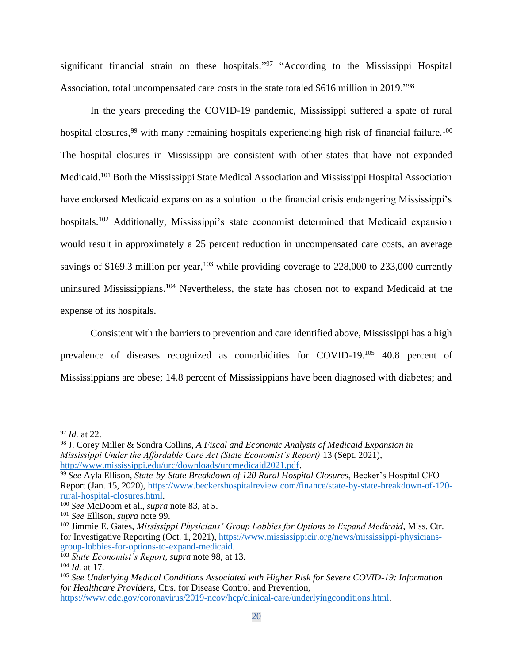significant financial strain on these hospitals."<sup>97</sup> "According to the Mississippi Hospital Association, total uncompensated care costs in the state totaled \$616 million in 2019."<sup>98</sup>

In the years preceding the COVID-19 pandemic, Mississippi suffered a spate of rural hospital closures,<sup>99</sup> with many remaining hospitals experiencing high risk of financial failure.<sup>100</sup> The hospital closures in Mississippi are consistent with other states that have not expanded Medicaid.<sup>101</sup> Both the Mississippi State Medical Association and Mississippi Hospital Association have endorsed Medicaid expansion as a solution to the financial crisis endangering Mississippi's hospitals.<sup>102</sup> Additionally, Mississippi's state economist determined that Medicaid expansion would result in approximately a 25 percent reduction in uncompensated care costs, an average savings of \$169.3 million per year,  $103$  while providing coverage to 228,000 to 233,000 currently uninsured Mississippians.<sup>104</sup> Nevertheless, the state has chosen not to expand Medicaid at the expense of its hospitals.

Consistent with the barriers to prevention and care identified above, Mississippi has a high prevalence of diseases recognized as comorbidities for COVID-19.<sup>105</sup> 40.8 percent of Mississippians are obese; 14.8 percent of Mississippians have been diagnosed with diabetes; and

<sup>97</sup> *Id.* at 22.

<sup>98</sup> J. Corey Miller & Sondra Collins, *A Fiscal and Economic Analysis of Medicaid Expansion in Mississippi Under the Affordable Care Act (State Economist's Report)* 13 (Sept. 2021), [http://www.mississippi.edu/urc/downloads/urcmedicaid2021.pdf.](http://www.mississippi.edu/urc/downloads/urcmedicaid2021.pdf)

<sup>99</sup> *See* Ayla Ellison, *State-by-State Breakdown of 120 Rural Hospital Closures*, Becker's Hospital CFO Report (Jan. 15, 2020), [https://www.beckershospitalreview.com/finance/state-by-state-breakdown-of-120](https://www.beckershospitalreview.com/finance/state-by-state-breakdown-of-120-rural-hospital-closures.html) [rural-hospital-closures.html.](https://www.beckershospitalreview.com/finance/state-by-state-breakdown-of-120-rural-hospital-closures.html)

<sup>100</sup> *See* McDoom et al., *supra* note 83, at 5.

<sup>101</sup> *See* Ellison, *supra* note 99.

<sup>102</sup> Jimmie E. Gates, *Mississippi Physicians' Group Lobbies for Options to Expand Medicaid*, Miss. Ctr. for Investigative Reporting (Oct. 1, 2021), [https://www.mississippicir.org/news/mississippi-physicians](https://www.mississippicir.org/news/mississippi-physicians-group-lobbies-for-options-to-expand-medicaid)[group-lobbies-for-options-to-expand-medicaid.](https://www.mississippicir.org/news/mississippi-physicians-group-lobbies-for-options-to-expand-medicaid)

<sup>103</sup> *State Economist's Report*, *supra* note 98, at 13.

<sup>104</sup> *Id.* at 17.

<sup>105</sup> *See Underlying Medical Conditions Associated with Higher Risk for Severe COVID-19: Information for Healthcare Providers*, Ctrs. for Disease Control and Prevention,

[https://www.cdc.gov/coronavirus/2019-ncov/hcp/clinical-care/underlyingconditions.html.](https://www.cdc.gov/coronavirus/2019-ncov/hcp/clinical-care/underlyingconditions.html)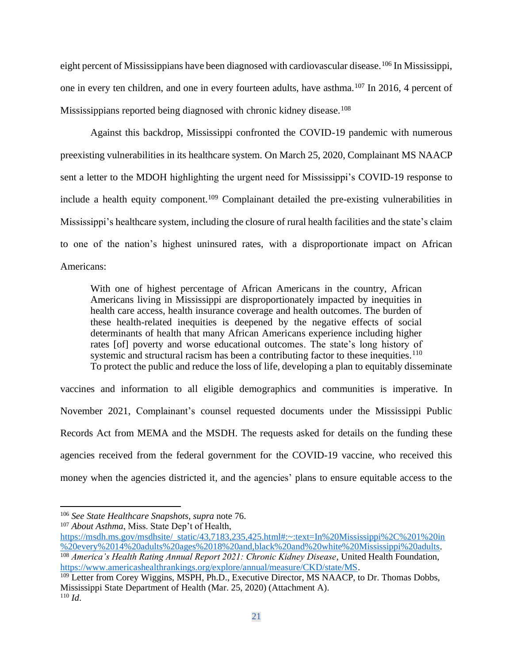eight percent of Mississippians have been diagnosed with cardiovascular disease.<sup>106</sup> In Mississippi, one in every ten children, and one in every fourteen adults, have asthma.<sup>107</sup> In 2016, 4 percent of Mississippians reported being diagnosed with chronic kidney disease.<sup>108</sup>

Against this backdrop, Mississippi confronted the COVID-19 pandemic with numerous preexisting vulnerabilities in its healthcare system. On March 25, 2020, Complainant MS NAACP sent a letter to the MDOH highlighting the urgent need for Mississippi's COVID-19 response to include a health equity component.<sup>109</sup> Complainant detailed the pre-existing vulnerabilities in Mississippi's healthcare system, including the closure of rural health facilities and the state's claim to one of the nation's highest uninsured rates, with a disproportionate impact on African Americans:

With one of highest percentage of African Americans in the country, African Americans living in Mississippi are disproportionately impacted by inequities in health care access, health insurance coverage and health outcomes. The burden of these health-related inequities is deepened by the negative effects of social determinants of health that many African Americans experience including higher rates [of] poverty and worse educational outcomes. The state's long history of systemic and structural racism has been a contributing factor to these inequities.<sup>110</sup> To protect the public and reduce the loss of life, developing a plan to equitably disseminate

vaccines and information to all eligible demographics and communities is imperative. In November 2021, Complainant's counsel requested documents under the Mississippi Public Records Act from MEMA and the MSDH. The requests asked for details on the funding these agencies received from the federal government for the COVID-19 vaccine, who received this money when the agencies districted it, and the agencies' plans to ensure equitable access to the

<sup>106</sup> *See State Healthcare Snapshots*, *supra* note 76.

<sup>107</sup> *About Asthma*, Miss. State Dep't of Health,

[https://msdh.ms.gov/msdhsite/\\_static/43,7183,235,425.html#:~:text=In%20Mississippi%2C%201%20in](https://msdh.ms.gov/msdhsite/_static/43,7183,235,425.html#:~:text=In%20Mississippi%2C%201%20in%20every%2014%20adults%20ages%2018%20and,black%20and%20white%20Mississippi%20adults) [%20every%2014%20adults%20ages%2018%20and,black%20and%20white%20Mississippi%20adults.](https://msdh.ms.gov/msdhsite/_static/43,7183,235,425.html#:~:text=In%20Mississippi%2C%201%20in%20every%2014%20adults%20ages%2018%20and,black%20and%20white%20Mississippi%20adults) <sup>108</sup> *America's Health Rating Annual Report 2021: Chronic Kidney Disease*, United Health Foundation, [https://www.americashealthrankings.org/explore/annual/measure/CKD/state/MS.](https://www.americashealthrankings.org/explore/annual/measure/CKD/state/MS)

<sup>&</sup>lt;sup>109</sup> Letter from Corey Wiggins, MSPH, Ph.D., Executive Director, MS NAACP, to Dr. Thomas Dobbs, Mississippi State Department of Health (Mar. 25, 2020) (Attachment A). <sup>110</sup> *Id*.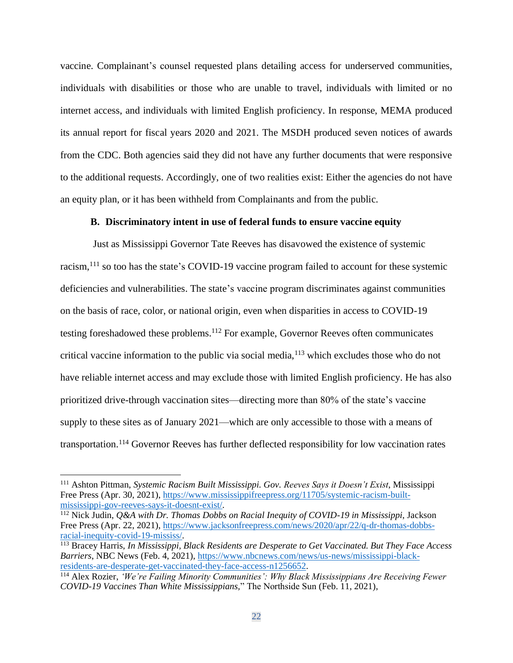vaccine. Complainant's counsel requested plans detailing access for underserved communities, individuals with disabilities or those who are unable to travel, individuals with limited or no internet access, and individuals with limited English proficiency. In response, MEMA produced its annual report for fiscal years 2020 and 2021. The MSDH produced seven notices of awards from the CDC. Both agencies said they did not have any further documents that were responsive to the additional requests. Accordingly, one of two realities exist: Either the agencies do not have an equity plan, or it has been withheld from Complainants and from the public.

## **B. Discriminatory intent in use of federal funds to ensure vaccine equity**

Just as Mississippi Governor Tate Reeves has disavowed the existence of systemic racism,<sup>111</sup> so too has the state's COVID-19 vaccine program failed to account for these systemic deficiencies and vulnerabilities. The state's vaccine program discriminates against communities on the basis of race, color, or national origin, even when disparities in access to COVID-19 testing foreshadowed these problems.<sup>112</sup> For example, Governor Reeves often communicates critical vaccine information to the public via social media,<sup>113</sup> which excludes those who do not have reliable internet access and may exclude those with limited English proficiency. He has also prioritized drive-through vaccination sites—directing more than 80% of the state's vaccine supply to these sites as of January 2021—which are only accessible to those with a means of transportation. <sup>114</sup> Governor Reeves has further deflected responsibility for low vaccination rates

<sup>111</sup> Ashton Pittman, *Systemic Racism Built Mississippi. Gov. Reeves Says it Doesn't Exist*, Mississippi Free Press (Apr. 30, 2021), [https://www.mississippifreepress.org/11705/systemic-racism-built](https://www.mississippifreepress.org/11705/systemic-racism-built-mississippi-gov-reeves-says-it-doesnt-exist/)[mississippi-gov-reeves-says-it-doesnt-exist/.](https://www.mississippifreepress.org/11705/systemic-racism-built-mississippi-gov-reeves-says-it-doesnt-exist/)

<sup>112</sup> Nick Judin, *Q&A with Dr. Thomas Dobbs on Racial Inequity of COVID-19 in Mississippi*, Jackson Free Press (Apr. 22, 2021), [https://www.jacksonfreepress.com/news/2020/apr/22/q-dr-thomas-dobbs](https://www.jacksonfreepress.com/news/2020/apr/22/q-dr-thomas-dobbs-racial-inequity-covid-19-mississ/)[racial-inequity-covid-19-mississ/.](https://www.jacksonfreepress.com/news/2020/apr/22/q-dr-thomas-dobbs-racial-inequity-covid-19-mississ/)

<sup>113</sup> Bracey Harris, *In Mississippi, Black Residents are Desperate to Get Vaccinated. But They Face Access Barriers*, NBC News (Feb. 4, 2021), [https://www.nbcnews.com/news/us-news/mississippi-black](https://www.nbcnews.com/news/us-news/mississippi-black-residents-are-desperate-get-vaccinated-they-face-access-n1256652)[residents-are-desperate-get-vaccinated-they-face-access-n1256652.](https://www.nbcnews.com/news/us-news/mississippi-black-residents-are-desperate-get-vaccinated-they-face-access-n1256652)

<sup>114</sup> Alex Rozier, *'We're Failing Minority Communities': Why Black Mississippians Are Receiving Fewer COVID-19 Vaccines Than White Mississippians,*" The Northside Sun (Feb. 11, 2021),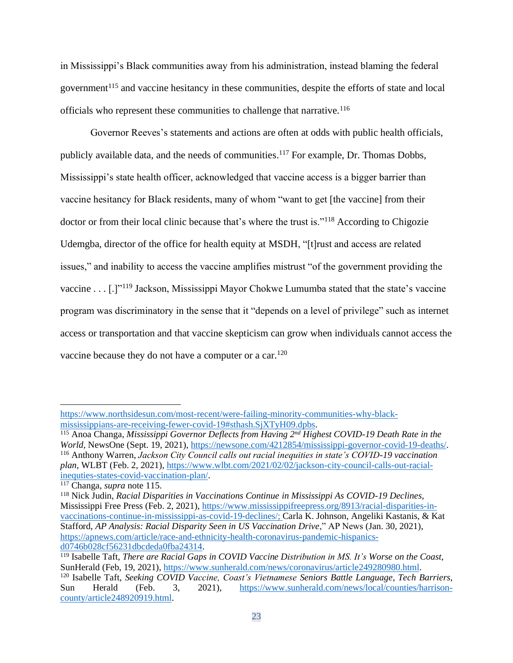in Mississippi's Black communities away from his administration, instead blaming the federal government<sup>115</sup> and vaccine hesitancy in these communities, despite the efforts of state and local officials who represent these communities to challenge that narrative.<sup>116</sup>

Governor Reeves's statements and actions are often at odds with public health officials, publicly available data, and the needs of communities.<sup>117</sup> For example, Dr. Thomas Dobbs, Mississippi's state health officer, acknowledged that vaccine access is a bigger barrier than vaccine hesitancy for Black residents, many of whom "want to get [the vaccine] from their doctor or from their local clinic because that's where the trust is."<sup>118</sup> According to Chigozie Udemgba, director of the office for health equity at MSDH, "[t]rust and access are related issues," and inability to access the vaccine amplifies mistrust "of the government providing the vaccine . . . [.]"<sup>119</sup> Jackson, Mississippi Mayor Chokwe Lumumba stated that the state's vaccine program was discriminatory in the sense that it "depends on a level of privilege" such as internet access or transportation and that vaccine skepticism can grow when individuals cannot access the vaccine because they do not have a computer or a car.<sup>120</sup>

[https://www.northsidesun.com/most-recent/were-failing-minority-communities-why-black](https://www.northsidesun.com/most-recent/were-failing-minority-communities-why-black-mississippians-are-receiving-fewer-covid-19#sthash.SjXTyH09.dpbs)[mississippians-are-receiving-fewer-covid-19#sthash.SjXTyH09.dpbs.](https://www.northsidesun.com/most-recent/were-failing-minority-communities-why-black-mississippians-are-receiving-fewer-covid-19#sthash.SjXTyH09.dpbs)

<sup>115</sup> Anoa Changa, *Mississippi Governor Deflects from Having 2nd Highest COVID-19 Death Rate in the World*, NewsOne (Sept. 19, 2021)[, https://newsone.com/4212854/mississippi-governor-covid-19-deaths/.](https://newsone.com/4212854/mississippi-governor-covid-19-deaths/) <sup>116</sup> Anthony Warren, *Jackson City Council calls out racial inequities in state's COVID-19 vaccination plan*, WLBT (Feb. 2, 2021), [https://www.wlbt.com/2021/02/02/jackson-city-council-calls-out-racial](https://www.wlbt.com/2021/02/02/jackson-city-council-calls-out-racial-inequties-states-covid-vaccination-plan/)[inequties-states-covid-vaccination-plan/.](https://www.wlbt.com/2021/02/02/jackson-city-council-calls-out-racial-inequties-states-covid-vaccination-plan/)

<sup>117</sup> Changa, *supra* note 115.

<sup>118</sup> Nick Judin, *Racial Disparities in Vaccinations Continue in Mississippi As COVID-19 Declines*, Mississippi Free Press (Feb. 2, 2021), [https://www.mississippifreepress.org/8913/racial-disparities-in](https://www.mississippifreepress.org/8913/racial-disparities-in-vaccinations-continue-in-mississippi-as-covid-19-declines/)[vaccinations-continue-in-mississippi-as-covid-19-declines/;](https://www.mississippifreepress.org/8913/racial-disparities-in-vaccinations-continue-in-mississippi-as-covid-19-declines/) Carla K. Johnson, Angeliki Kastanis, & Kat Stafford, *AP Analysis: Racial Disparity Seen in US Vaccination Drive*," AP News (Jan. 30, 2021), [https://apnews.com/article/race-and-ethnicity-health-coronavirus-pandemic-hispanics](https://apnews.com/article/race-and-ethnicity-health-coronavirus-pandemic-hispanics-d0746b028cf56231dbcdeda0fba24314)[d0746b028cf56231dbcdeda0fba24314.](https://apnews.com/article/race-and-ethnicity-health-coronavirus-pandemic-hispanics-d0746b028cf56231dbcdeda0fba24314)

<sup>119</sup> Isabelle Taft, *There are Racial Gaps in COVID Vaccine Distribution in MS. It's Worse on the Coast*, SunHerald (Feb, 19, 2021), [https://www.sunherald.com/news/coronavirus/article249280980.html.](https://www.sunherald.com/news/coronavirus/article249280980.html) <sup>120</sup> Isabelle Taft, *Seeking COVID Vaccine, Coast's Vietnamese Seniors Battle Language, Tech Barriers*, Sun Herald (Feb. 3, 2021), [https://www.sunherald.com/news/local/counties/harrison](https://www.sunherald.com/news/local/counties/harrison-county/article248920919.html)[county/article248920919.html.](https://www.sunherald.com/news/local/counties/harrison-county/article248920919.html)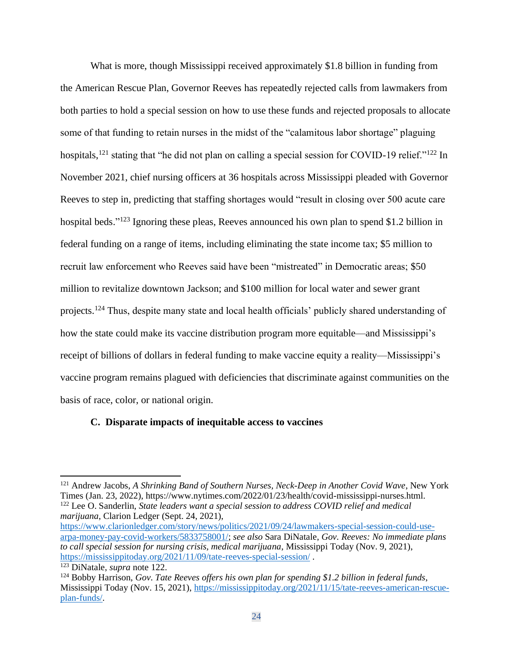What is more, though Mississippi received approximately \$1.8 billion in funding from the American Rescue Plan, Governor Reeves has repeatedly rejected calls from lawmakers from both parties to hold a special session on how to use these funds and rejected proposals to allocate some of that funding to retain nurses in the midst of the "calamitous labor shortage" plaguing hospitals,<sup>121</sup> stating that "he did not plan on calling a special session for COVID-19 relief."<sup>122</sup> In November 2021, chief nursing officers at 36 hospitals across Mississippi pleaded with Governor Reeves to step in, predicting that staffing shortages would "result in closing over 500 acute care hospital beds."<sup>123</sup> Ignoring these pleas, Reeves announced his own plan to spend \$1.2 billion in federal funding on a range of items, including eliminating the state income tax; \$5 million to recruit law enforcement who Reeves said have been "mistreated" in Democratic areas; \$50 million to revitalize downtown Jackson; and \$100 million for local water and sewer grant projects.<sup>124</sup> Thus, despite many state and local health officials' publicly shared understanding of how the state could make its vaccine distribution program more equitable—and Mississippi's receipt of billions of dollars in federal funding to make vaccine equity a reality—Mississippi's vaccine program remains plagued with deficiencies that discriminate against communities on the basis of race, color, or national origin.

### **C. Disparate impacts of inequitable access to vaccines**

<sup>121</sup> Andrew Jacobs, *A Shrinking Band of Southern Nurses, Neck-Deep in Another Covid Wave*, New York Times (Jan. 23, 2022), https://www.nytimes.com/2022/01/23/health/covid-mississippi-nurses.html. <sup>122</sup> Lee O. Sanderlin, *State leaders want a special session to address COVID relief and medical marijuana*, Clarion Ledger (Sept. 24, 2021), [https://www.clarionledger.com/story/news/politics/2021/09/24/lawmakers-special-session-could-use-](https://www.clarionledger.com/story/news/politics/2021/09/24/lawmakers-special-session-could-use-arpa-money-pay-covid-workers/5833758001/)

[arpa-money-pay-covid-workers/5833758001/;](https://www.clarionledger.com/story/news/politics/2021/09/24/lawmakers-special-session-could-use-arpa-money-pay-covid-workers/5833758001/) *see also* Sara DiNatale, *Gov. Reeves: No immediate plans to call special session for nursing crisis, medical marijuana*, Mississippi Today (Nov. 9, 2021), <https://mississippitoday.org/2021/11/09/tate-reeves-special-session/> .

<sup>123</sup> DiNatale, *supra* note 122.

<sup>124</sup> Bobby Harrison, *Gov. Tate Reeves offers his own plan for spending \$1.2 billion in federal funds*, Mississippi Today (Nov. 15, 2021), [https://mississippitoday.org/2021/11/15/tate-reeves-american-rescue](https://mississippitoday.org/2021/11/15/tate-reeves-american-rescue-plan-funds/)[plan-funds/.](https://mississippitoday.org/2021/11/15/tate-reeves-american-rescue-plan-funds/)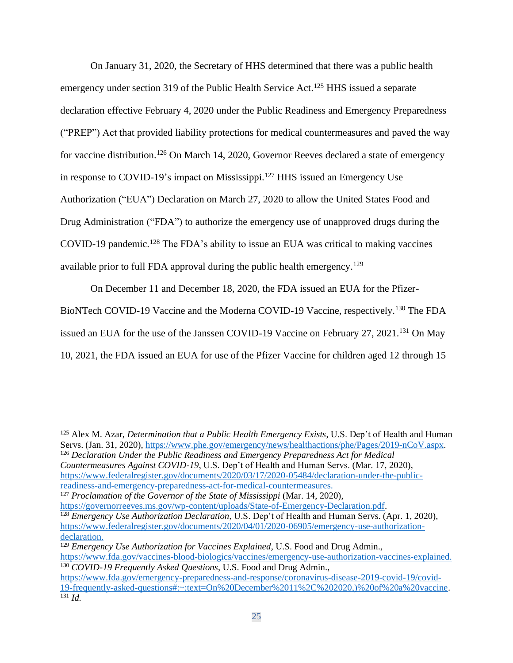On January 31, 2020, the Secretary of HHS determined that there was a public health emergency under section 319 of the Public Health Service Act.<sup>125</sup> HHS issued a separate declaration effective February 4, 2020 under the Public Readiness and Emergency Preparedness ("PREP") Act that provided liability protections for medical countermeasures and paved the way for vaccine distribution.<sup>126</sup> On March 14, 2020, Governor Reeves declared a state of emergency in response to COVID-19's impact on Mississippi. <sup>127</sup> HHS issued an Emergency Use Authorization ("EUA") Declaration on March 27, 2020 to allow the United States Food and Drug Administration ("FDA") to authorize the emergency use of unapproved drugs during the COVID-19 pandemic.<sup>128</sup> The FDA's ability to issue an EUA was critical to making vaccines available prior to full FDA approval during the public health emergency.<sup>129</sup>

On December 11 and December 18, 2020, the FDA issued an EUA for the Pfizer-BioNTech COVID-19 Vaccine and the Moderna COVID-19 Vaccine, respectively.<sup>130</sup> The FDA issued an EUA for the use of the Janssen COVID-19 Vaccine on February 27, 2021.<sup>131</sup> On May 10, 2021, the FDA issued an EUA for use of the Pfizer Vaccine for children aged 12 through 15

<sup>126</sup> *Declaration Under the Public Readiness and Emergency Preparedness Act for Medical Countermeasures Against COVID-19*, U.S. Dep't of Health and Human Servs. (Mar. 17, 2020), [https://www.federalregister.gov/documents/2020/03/17/2020-05484/declaration-under-the-public](https://www.federalregister.gov/documents/2020/03/17/2020-05484/declaration-under-the-public-readiness-and-emergency-preparedness-act-for-medical-countermeasures)[readiness-and-emergency-preparedness-act-for-medical-countermeasures.](https://www.federalregister.gov/documents/2020/03/17/2020-05484/declaration-under-the-public-readiness-and-emergency-preparedness-act-for-medical-countermeasures)

<sup>127</sup> *Proclamation of the Governor of the State of Mississippi* (Mar. 14, 2020), [https://governorreeves.ms.gov/wp-content/uploads/State-of-Emergency-Declaration.pdf.](https://governorreeves.ms.gov/wp-content/uploads/State-of-Emergency-Declaration.pdf)

<sup>128</sup> *Emergency Use Authorization Declaration*, U.S. Dep't of Health and Human Servs. (Apr. 1, 2020), [https://www.federalregister.gov/documents/2020/04/01/2020-06905/emergency-use-authorization](https://www.federalregister.gov/documents/2020/04/01/2020-06905/emergency-use-authorization-declaration)[declaration.](https://www.federalregister.gov/documents/2020/04/01/2020-06905/emergency-use-authorization-declaration)

<sup>125</sup> Alex M. Azar, *Determination that a Public Health Emergency Exists*, U.S. Dep't of Health and Human Servs. (Jan. 31, 2020)[, https://www.phe.gov/emergency/news/healthactions/phe/Pages/2019-nCoV.aspx.](https://www.phe.gov/emergency/news/healthactions/phe/Pages/2019-nCoV.aspx)

<sup>129</sup> *Emergency Use Authorization for Vaccines Explained*, U.S. Food and Drug Admin., [https://www.fda.gov/vaccines-blood-biologics/vaccines/emergency-use-authorization-vaccines-explained.](https://www.fda.gov/vaccines-blood-biologics/vaccines/emergency-use-authorization-vaccines-explained) <sup>130</sup> *COVID-19 Frequently Asked Questions*, U.S. Food and Drug Admin.,

[https://www.fda.gov/emergency-preparedness-and-response/coronavirus-disease-2019-covid-19/covid-](https://www.fda.gov/emergency-preparedness-and-response/coronavirus-disease-2019-covid-19/covid-19-frequently-asked-questions#:~:text=On%20December%2011%2C%202020,)%20of%20a%20vaccine)[19-frequently-asked-questions#:~:text=On%20December%2011%2C%202020,\)%20of%20a%20vaccine.](https://www.fda.gov/emergency-preparedness-and-response/coronavirus-disease-2019-covid-19/covid-19-frequently-asked-questions#:~:text=On%20December%2011%2C%202020,)%20of%20a%20vaccine) <sup>131</sup> *Id.*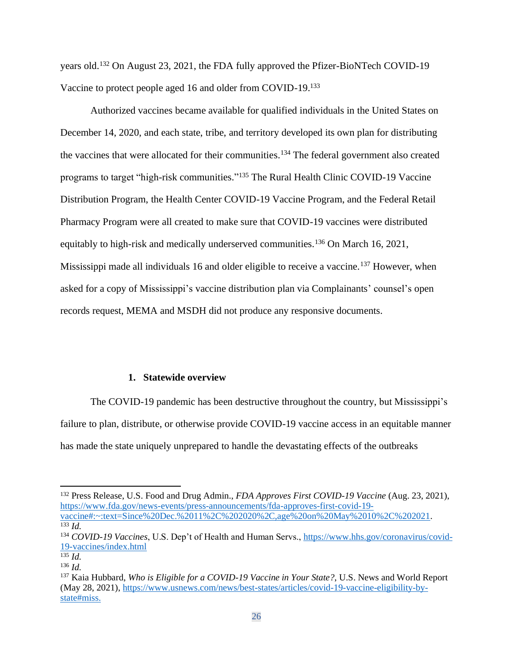years old.<sup>132</sup> On August 23, 2021, the FDA fully approved the Pfizer-BioNTech COVID-19 Vaccine to protect people aged 16 and older from COVID-19.<sup>133</sup>

Authorized vaccines became available for qualified individuals in the United States on December 14, 2020, and each state, tribe, and territory developed its own plan for distributing the vaccines that were allocated for their communities.<sup>134</sup> The federal government also created programs to target "high-risk communities."<sup>135</sup> The Rural Health Clinic COVID-19 Vaccine Distribution Program, the Health Center COVID-19 Vaccine Program, and the Federal Retail Pharmacy Program were all created to make sure that COVID-19 vaccines were distributed equitably to high-risk and medically underserved communities.<sup>136</sup> On March 16, 2021, Mississippi made all individuals 16 and older eligible to receive a vaccine.<sup>137</sup> However, when asked for a copy of Mississippi's vaccine distribution plan via Complainants' counsel's open records request, MEMA and MSDH did not produce any responsive documents.

#### **1. Statewide overview**

The COVID-19 pandemic has been destructive throughout the country, but Mississippi's failure to plan, distribute, or otherwise provide COVID-19 vaccine access in an equitable manner has made the state uniquely unprepared to handle the devastating effects of the outbreaks

<sup>132</sup> Press Release, U.S. Food and Drug Admin., *FDA Approves First COVID-19 Vaccine* (Aug. 23, 2021), [https://www.fda.gov/news-events/press-announcements/fda-approves-first-covid-19](https://www.fda.gov/news-events/press-announcements/fda-approves-first-covid-19-vaccine#:~:text=Since%20Dec.%2011%2C%202020%2C,age%20on%20May%2010%2C%202021) [vaccine#:~:text=Since%20Dec.%2011%2C%202020%2C,age%20on%20May%2010%2C%202021.](https://www.fda.gov/news-events/press-announcements/fda-approves-first-covid-19-vaccine#:~:text=Since%20Dec.%2011%2C%202020%2C,age%20on%20May%2010%2C%202021) <sup>133</sup> *Id.*

<sup>134</sup> *COVID-19 Vaccines*, U.S. Dep't of Health and Human Servs., [https://www.hhs.gov/coronavirus/covid-](https://www.hhs.gov/coronavirus/covid-19-vaccines/index.html)[19-vaccines/index.html](https://www.hhs.gov/coronavirus/covid-19-vaccines/index.html)

<sup>135</sup> *Id.*

<sup>136</sup> *Id.*

<sup>137</sup> Kaia Hubbard, *Who is Eligible for a COVID-19 Vaccine in Your State?*, U.S. News and World Report (May 28, 2021), [https://www.usnews.com/news/best-states/articles/covid-19-vaccine-eligibility-by](https://www.usnews.com/news/best-states/articles/covid-19-vaccine-eligibility-by-state#miss)[state#miss.](https://www.usnews.com/news/best-states/articles/covid-19-vaccine-eligibility-by-state#miss)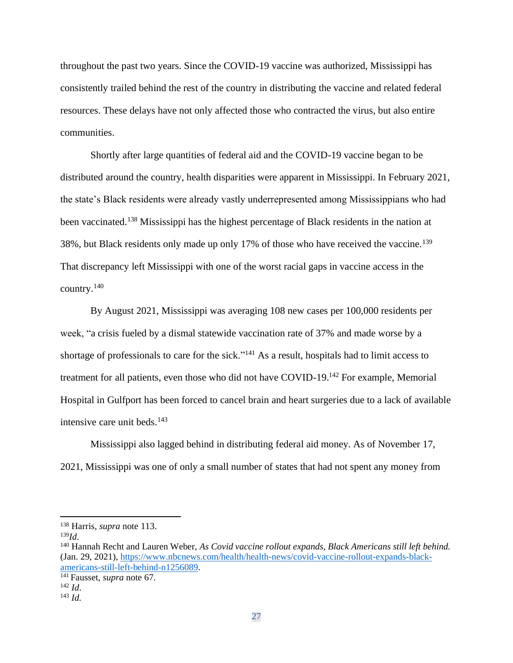throughout the past two years. Since the COVID-19 vaccine was authorized, Mississippi has consistently trailed behind the rest of the country in distributing the vaccine and related federal resources. These delays have not only affected those who contracted the virus, but also entire communities.

Shortly after large quantities of federal aid and the COVID-19 vaccine began to be distributed around the country, health disparities were apparent in Mississippi. In February 2021, the state's Black residents were already vastly underrepresented among Mississippians who had been vaccinated.<sup>138</sup> Mississippi has the highest percentage of Black residents in the nation at 38%, but Black residents only made up only 17% of those who have received the vaccine.<sup>139</sup> That discrepancy left Mississippi with one of the worst racial gaps in vaccine access in the country.<sup>140</sup>

By August 2021, Mississippi was averaging 108 new cases per 100,000 residents per week, "a crisis fueled by a dismal statewide vaccination rate of 37% and made worse by a shortage of professionals to care for the sick."<sup>141</sup> As a result, hospitals had to limit access to treatment for all patients, even those who did not have COVID-19.<sup>142</sup> For example, Memorial Hospital in Gulfport has been forced to cancel brain and heart surgeries due to a lack of available intensive care unit beds. $143$ 

Mississippi also lagged behind in distributing federal aid money. As of November 17, 2021, Mississippi was one of only a small number of states that had not spent any money from

<sup>138</sup> Harris, *supra* note 113.

<sup>139</sup>*Id*.

<sup>140</sup> Hannah Recht and Lauren Weber, *As Covid vaccine rollout expands, Black Americans still left behind.* (Jan. 29, 2021)[, https://www.nbcnews.com/health/health-news/covid-vaccine-rollout-expands-black](https://www.nbcnews.com/health/health-news/covid-vaccine-rollout-expands-black-americans-still-left-behind-n1256089)[americans-still-left-behind-n1256089.](https://www.nbcnews.com/health/health-news/covid-vaccine-rollout-expands-black-americans-still-left-behind-n1256089)

<sup>141</sup> Fausset, *supra* note 67.

<sup>142</sup> *Id*.

<sup>143</sup> *Id.*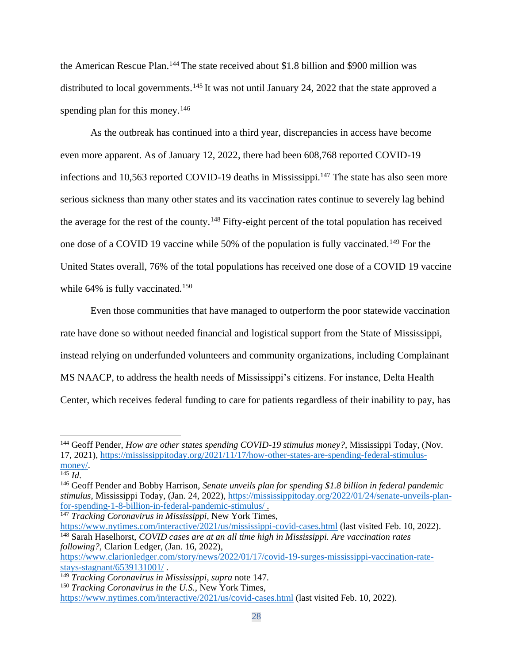the American Rescue Plan.<sup>144</sup> The state received about \$1.8 billion and \$900 million was distributed to local governments.<sup>145</sup> It was not until January 24, 2022 that the state approved a spending plan for this money.<sup>146</sup>

As the outbreak has continued into a third year, discrepancies in access have become even more apparent. As of January 12, 2022, there had been 608,768 reported COVID-19 infections and 10,563 reported COVID-19 deaths in Mississippi.<sup>147</sup> The state has also seen more serious sickness than many other states and its vaccination rates continue to severely lag behind the average for the rest of the county.<sup>148</sup> Fifty-eight percent of the total population has received one dose of a COVID 19 vaccine while 50% of the population is fully vaccinated.<sup>149</sup> For the United States overall, 76% of the total populations has received one dose of a COVID 19 vaccine while 64% is fully vaccinated.<sup>150</sup>

Even those communities that have managed to outperform the poor statewide vaccination rate have done so without needed financial and logistical support from the State of Mississippi, instead relying on underfunded volunteers and community organizations, including Complainant MS NAACP, to address the health needs of Mississippi's citizens. For instance, Delta Health Center, which receives federal funding to care for patients regardless of their inability to pay, has

<sup>147</sup> *Tracking Coronavirus in Mississippi*, New York Times,

<https://www.nytimes.com/interactive/2021/us/mississippi-covid-cases.html> (last visited Feb. 10, 2022). <sup>148</sup> Sarah Haselhorst, *COVID cases are at an all time high in Mississippi. Are vaccination rates following?*, Clarion Ledger, (Jan. 16, 2022),

[https://www.clarionledger.com/story/news/2022/01/17/covid-19-surges-mississippi-vaccination-rate](https://www.clarionledger.com/story/news/2022/01/17/covid-19-surges-mississippi-vaccination-rate-stays-stagnant/6539131001/)[stays-stagnant/6539131001/](https://www.clarionledger.com/story/news/2022/01/17/covid-19-surges-mississippi-vaccination-rate-stays-stagnant/6539131001/) .

<sup>144</sup> Geoff Pender, *How are other states spending COVID-19 stimulus money?*, Mississippi Today, (Nov. 17, 2021)[, https://mississippitoday.org/2021/11/17/how-other-states-are-spending-federal-stimulus](https://mississippitoday.org/2021/11/17/how-other-states-are-spending-federal-stimulus-money/)[money/.](https://mississippitoday.org/2021/11/17/how-other-states-are-spending-federal-stimulus-money/)

 $\overline{^{145}$  *Id.* 

<sup>146</sup> Geoff Pender and Bobby Harrison, *Senate unveils plan for spending \$1.8 billion in federal pandemic stimulus*, Mississippi Today, (Jan. 24, 2022), [https://mississippitoday.org/2022/01/24/senate-unveils-plan](https://mississippitoday.org/2022/01/24/senate-unveils-plan-for-spending-1-8-billion-in-federal-pandemic-stimulus/)[for-spending-1-8-billion-in-federal-pandemic-stimulus/](https://mississippitoday.org/2022/01/24/senate-unveils-plan-for-spending-1-8-billion-in-federal-pandemic-stimulus/) .

<sup>149</sup> *Tracking Coronavirus in Mississippi*, *supra* note 147.

<sup>150</sup> *Tracking Coronavirus in the U.S.,* New York Times,

<https://www.nytimes.com/interactive/2021/us/covid-cases.html> (last visited Feb. 10, 2022).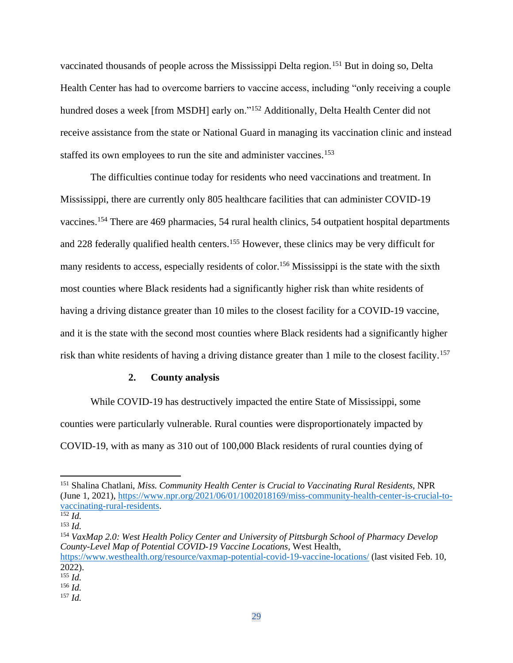vaccinated thousands of people across the Mississippi Delta region.<sup>151</sup> But in doing so, Delta Health Center has had to overcome barriers to vaccine access, including "only receiving a couple hundred doses a week [from MSDH] early on."<sup>152</sup> Additionally, Delta Health Center did not receive assistance from the state or National Guard in managing its vaccination clinic and instead staffed its own employees to run the site and administer vaccines.<sup>153</sup>

The difficulties continue today for residents who need vaccinations and treatment. In Mississippi, there are currently only 805 healthcare facilities that can administer COVID-19 vaccines.<sup>154</sup> There are 469 pharmacies, 54 rural health clinics, 54 outpatient hospital departments and 228 federally qualified health centers.<sup>155</sup> However, these clinics may be very difficult for many residents to access, especially residents of color.<sup>156</sup> Mississippi is the state with the sixth most counties where Black residents had a significantly higher risk than white residents of having a driving distance greater than 10 miles to the closest facility for a COVID-19 vaccine, and it is the state with the second most counties where Black residents had a significantly higher risk than white residents of having a driving distance greater than 1 mile to the closest facility.<sup>157</sup>

## **2. County analysis**

While COVID-19 has destructively impacted the entire State of Mississippi, some counties were particularly vulnerable. Rural counties were disproportionately impacted by COVID-19, with as many as 310 out of 100,000 Black residents of rural counties dying of

<sup>151</sup> Shalina Chatlani, *Miss. Community Health Center is Crucial to Vaccinating Rural Residents*, NPR (June 1, 2021)[, https://www.npr.org/2021/06/01/1002018169/miss-community-health-center-is-crucial-to](https://www.npr.org/2021/06/01/1002018169/miss-community-health-center-is-crucial-to-vaccinating-rural-residents)[vaccinating-rural-residents.](https://www.npr.org/2021/06/01/1002018169/miss-community-health-center-is-crucial-to-vaccinating-rural-residents)

<sup>152</sup> *Id.*

<sup>153</sup> *Id.*

<sup>154</sup> *VaxMap 2.0: West Health Policy Center and University of Pittsburgh School of Pharmacy Develop County-Level Map of Potential COVID-19 Vaccine Locations*, West Health, <https://www.westhealth.org/resource/vaxmap-potential-covid-19-vaccine-locations/> (last visited Feb. 10,  $2022$ ).

<sup>155</sup> *Id.*

<sup>156</sup> *Id.*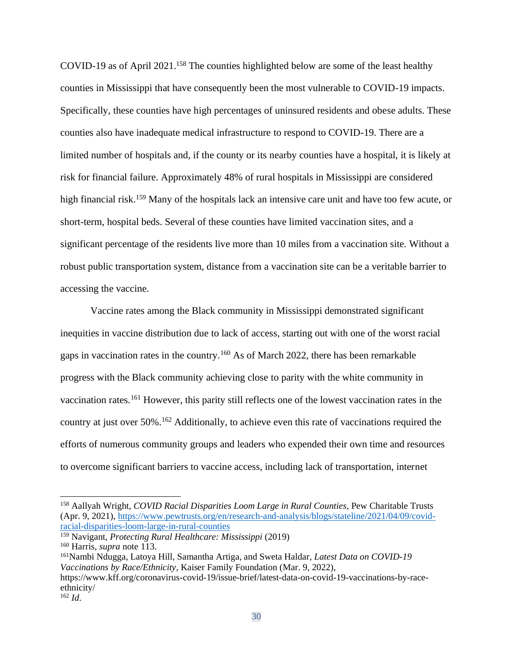COVID-19 as of April 2021. <sup>158</sup> The counties highlighted below are some of the least healthy counties in Mississippi that have consequently been the most vulnerable to COVID-19 impacts. Specifically, these counties have high percentages of uninsured residents and obese adults. These counties also have inadequate medical infrastructure to respond to COVID-19. There are a limited number of hospitals and, if the county or its nearby counties have a hospital, it is likely at risk for financial failure. Approximately 48% of rural hospitals in Mississippi are considered high financial risk.<sup>159</sup> Many of the hospitals lack an intensive care unit and have too few acute, or short-term, hospital beds. Several of these counties have limited vaccination sites, and a significant percentage of the residents live more than 10 miles from a vaccination site. Without a robust public transportation system, distance from a vaccination site can be a veritable barrier to accessing the vaccine.

Vaccine rates among the Black community in Mississippi demonstrated significant inequities in vaccine distribution due to lack of access, starting out with one of the worst racial gaps in vaccination rates in the country.<sup>160</sup> As of March 2022, there has been remarkable progress with the Black community achieving close to parity with the white community in vaccination rates.<sup>161</sup> However, this parity still reflects one of the lowest vaccination rates in the country at just over 50%.<sup>162</sup> Additionally, to achieve even this rate of vaccinations required the efforts of numerous community groups and leaders who expended their own time and resources to overcome significant barriers to vaccine access, including lack of transportation, internet

<sup>159</sup> Navigant, *Protecting Rural Healthcare: Mississippi* (2019)

<sup>161</sup>Nambi Ndugga, Latoya Hill, Samantha Artiga, and Sweta Haldar, *Latest Data on COVID-19 Vaccinations by Race/Ethnicity*, Kaiser Family Foundation (Mar. 9, 2022), https://www.kff.org/coronavirus-covid-19/issue-brief/latest-data-on-covid-19-vaccinations-by-raceethnicity/

<sup>158</sup> Aallyah Wright, *COVID Racial Disparities Loom Large in Rural Counties*, Pew Charitable Trusts (Apr. 9, 2021), [https://www.pewtrusts.org/en/research-and-analysis/blogs/stateline/2021/04/09/covid](https://www.pewtrusts.org/en/research-and-analysis/blogs/stateline/2021/04/09/covid-racial-disparities-loom-large-in-rural-counties)[racial-disparities-loom-large-in-rural-counties](https://www.pewtrusts.org/en/research-and-analysis/blogs/stateline/2021/04/09/covid-racial-disparities-loom-large-in-rural-counties)

<sup>160</sup> Harris, *supra* note 113.

<sup>162</sup> *Id*.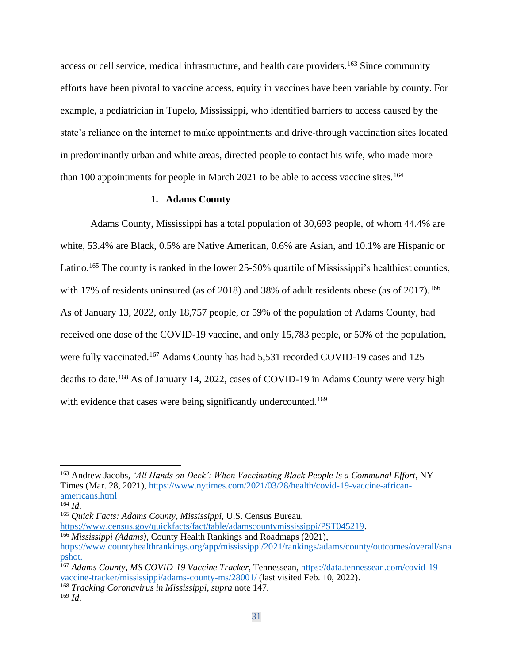access or cell service, medical infrastructure, and health care providers.<sup>163</sup> Since community efforts have been pivotal to vaccine access, equity in vaccines have been variable by county. For example, a pediatrician in Tupelo, Mississippi, who identified barriers to access caused by the state's reliance on the internet to make appointments and drive-through vaccination sites located in predominantly urban and white areas, directed people to contact his wife, who made more than 100 appointments for people in March 2021 to be able to access vaccine sites.<sup>164</sup>

## **1. Adams County**

Adams County, Mississippi has a total population of 30,693 people, of whom 44.4% are white, 53.4% are Black, 0.5% are Native American, 0.6% are Asian, and 10.1% are Hispanic or Latino.<sup>165</sup> The county is ranked in the lower 25-50% quartile of Mississippi's healthiest counties, with 17% of residents uninsured (as of 2018) and 38% of adult residents obese (as of 2017).<sup>166</sup> As of January 13, 2022, only 18,757 people, or 59% of the population of Adams County, had received one dose of the COVID-19 vaccine, and only 15,783 people, or 50% of the population, were fully vaccinated.<sup>167</sup> Adams County has had 5,531 recorded COVID-19 cases and 125 deaths to date.<sup>168</sup> As of January 14, 2022, cases of COVID-19 in Adams County were very high with evidence that cases were being significantly undercounted.<sup>169</sup>

<sup>163</sup> Andrew Jacobs, *'All Hands on Deck': When Vaccinating Black People Is a Communal Effort*, NY Times (Mar. 28, 2021), [https://www.nytimes.com/2021/03/28/health/covid-19-vaccine-african](https://www.nytimes.com/2021/03/28/health/covid-19-vaccine-african-americans.html)[americans.html](https://www.nytimes.com/2021/03/28/health/covid-19-vaccine-african-americans.html)

<sup>164</sup> *Id*.

<sup>165</sup> *Quick Facts: Adams County, Mississippi*, U.S. Census Bureau,

[https://www.census.gov/quickfacts/fact/table/adamscountymississippi/PST045219.](https://www.census.gov/quickfacts/fact/table/adamscountymississippi/PST045219) <sup>166</sup> *Mississippi (Adams)*, County Health Rankings and Roadmaps (2021),

[https://www.countyhealthrankings.org/app/mississippi/2021/rankings/adams/county/outcomes/overall/sna](https://www.countyhealthrankings.org/app/mississippi/2021/rankings/adams/county/outcomes/overall/snapshot) [pshot.](https://www.countyhealthrankings.org/app/mississippi/2021/rankings/adams/county/outcomes/overall/snapshot)

<sup>167</sup> *Adams County, MS COVID-19 Vaccine Tracker*, Tennessean, [https://data.tennessean.com/covid-19](https://data.tennessean.com/covid-19-vaccine-tracker/mississippi/adams-county-ms/28001/) [vaccine-tracker/mississippi/adams-county-ms/28001/](https://data.tennessean.com/covid-19-vaccine-tracker/mississippi/adams-county-ms/28001/) (last visited Feb. 10, 2022).

<sup>168</sup> *Tracking Coronavirus in Mississippi*, *supra* note 147.

<sup>169</sup> *Id*.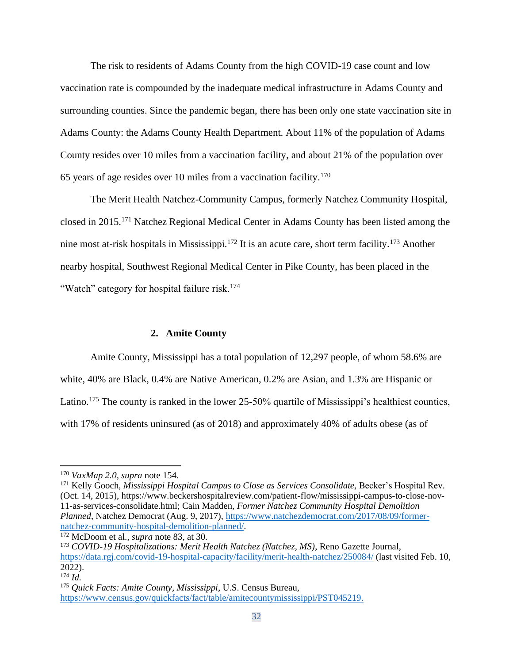The risk to residents of Adams County from the high COVID-19 case count and low vaccination rate is compounded by the inadequate medical infrastructure in Adams County and surrounding counties. Since the pandemic began, there has been only one state vaccination site in Adams County: the Adams County Health Department. About 11% of the population of Adams County resides over 10 miles from a vaccination facility, and about 21% of the population over 65 years of age resides over 10 miles from a vaccination facility.<sup>170</sup>

The Merit Health Natchez-Community Campus, formerly Natchez Community Hospital, closed in 2015.<sup>171</sup> Natchez Regional Medical Center in Adams County has been listed among the nine most at-risk hospitals in Mississippi.<sup>172</sup> It is an acute care, short term facility.<sup>173</sup> Another nearby hospital, Southwest Regional Medical Center in Pike County, has been placed in the "Watch" category for hospital failure risk.<sup>174</sup>

#### **2. Amite County**

Amite County, Mississippi has a total population of 12,297 people, of whom 58.6% are white, 40% are Black, 0.4% are Native American, 0.2% are Asian, and 1.3% are Hispanic or Latino.<sup>175</sup> The county is ranked in the lower 25-50% quartile of Mississippi's healthiest counties, with 17% of residents uninsured (as of 2018) and approximately 40% of adults obese (as of

<sup>171</sup> Kelly Gooch, *Mississippi Hospital Campus to Close as Services Consolidate,* Becker's Hospital Rev. (Oct. 14, 2015), https://www.beckershospitalreview.com/patient-flow/mississippi-campus-to-close-nov-11-as-services-consolidate.html; Cain Madden, *Former Natchez Community Hospital Demolition Planned*, Natchez Democrat (Aug. 9, 2017), [https://www.natchezdemocrat.com/2017/08/09/former](https://www.natchezdemocrat.com/2017/08/09/former-natchez-community-hospital-demolition-planned/)[natchez-community-hospital-demolition-planned/.](https://www.natchezdemocrat.com/2017/08/09/former-natchez-community-hospital-demolition-planned/)

<sup>170</sup> *VaxMap 2.0, supra* note 154.

<sup>172</sup> McDoom et al., *supra* note 83, at 30.

<sup>173</sup> *COVID-19 Hospitalizations: Merit Health Natchez (Natchez, MS)*, Reno Gazette Journal, <https://data.rgj.com/covid-19-hospital-capacity/facility/merit-health-natchez/250084/> (last visited Feb. 10,  $2022$ ).

<sup>174</sup> *Id.*

<sup>175</sup> *Quick Facts: Amite County, Mississippi*, U.S. Census Bureau, [https://www.census.gov/quickfacts/fact/table/amitecountymississippi/PST045219.](https://www.census.gov/quickfacts/fact/table/amitecountymississippi/PST045219)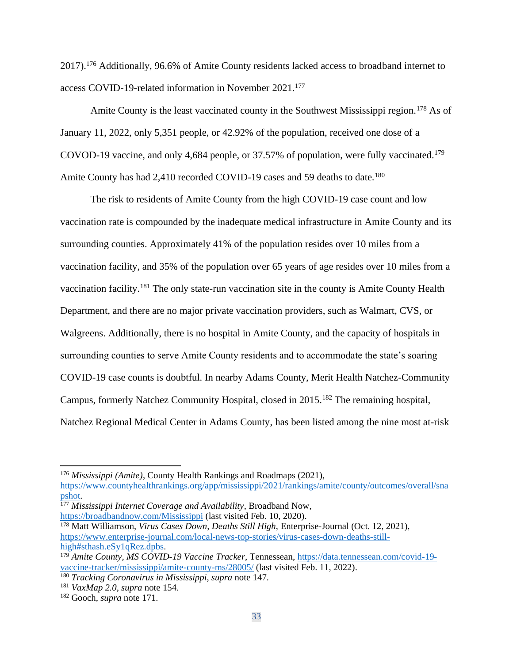2017).<sup>176</sup> Additionally, 96.6% of Amite County residents lacked access to broadband internet to access COVID-19-related information in November 2021.<sup>177</sup>

Amite County is the least vaccinated county in the Southwest Mississippi region.<sup>178</sup> As of January 11, 2022, only 5,351 people, or 42.92% of the population, received one dose of a COVOD-19 vaccine, and only 4,684 people, or 37.57% of population, were fully vaccinated.<sup>179</sup> Amite County has had 2,410 recorded COVID-19 cases and 59 deaths to date.<sup>180</sup>

The risk to residents of Amite County from the high COVID-19 case count and low vaccination rate is compounded by the inadequate medical infrastructure in Amite County and its surrounding counties. Approximately 41% of the population resides over 10 miles from a vaccination facility, and 35% of the population over 65 years of age resides over 10 miles from a vaccination facility.<sup>181</sup> The only state-run vaccination site in the county is Amite County Health Department, and there are no major private vaccination providers, such as Walmart, CVS, or Walgreens. Additionally, there is no hospital in Amite County, and the capacity of hospitals in surrounding counties to serve Amite County residents and to accommodate the state's soaring COVID-19 case counts is doubtful. In nearby Adams County, Merit Health Natchez-Community Campus, formerly Natchez Community Hospital, closed in 2015.<sup>182</sup> The remaining hospital, Natchez Regional Medical Center in Adams County, has been listed among the nine most at-risk

<sup>177</sup> *Mississippi Internet Coverage and Availability*, Broadband Now, <https://broadbandnow.com/Mississippi> (last visited Feb. 10, 2020).

<sup>176</sup> *Mississippi (Amite)*, County Health Rankings and Roadmaps (2021),

[https://www.countyhealthrankings.org/app/mississippi/2021/rankings/amite/county/outcomes/overall/sna](https://www.countyhealthrankings.org/app/mississippi/2021/rankings/amite/county/outcomes/overall/snapshot) [pshot.](https://www.countyhealthrankings.org/app/mississippi/2021/rankings/amite/county/outcomes/overall/snapshot)

<sup>178</sup> Matt Williamson, *Virus Cases Down, Deaths Still High*, Enterprise-Journal (Oct. 12, 2021), [https://www.enterprise-journal.com/local-news-top-stories/virus-cases-down-deaths-still](https://www.enterprise-journal.com/local-news-top-stories/virus-cases-down-deaths-still-high#sthash.eSy1qRez.dpbs)[high#sthash.eSy1qRez.dpbs.](https://www.enterprise-journal.com/local-news-top-stories/virus-cases-down-deaths-still-high#sthash.eSy1qRez.dpbs)

<sup>179</sup> *Amite County, MS COVID-19 Vaccine Tracker*, Tennessean, [https://data.tennessean.com/covid-19](https://data.tennessean.com/covid-19-vaccine-tracker/mississippi/amite-county-ms/28005/) [vaccine-tracker/mississippi/amite-county-ms/28005/](https://data.tennessean.com/covid-19-vaccine-tracker/mississippi/amite-county-ms/28005/) (last visited Feb. 11, 2022).

<sup>180</sup> *Tracking Coronavirus in Mississippi*, *supra* note 147.

<sup>181</sup> *VaxMap 2.0*, *supra* note 154.

<sup>182</sup> Gooch, *supra* note 171.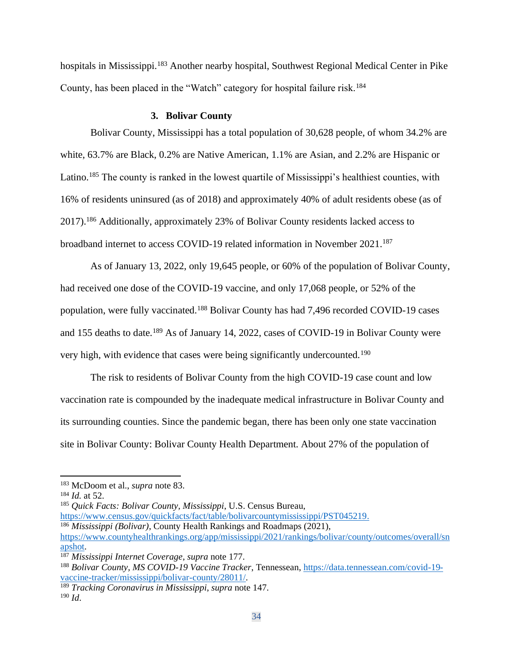hospitals in Mississippi.<sup>183</sup> Another nearby hospital, Southwest Regional Medical Center in Pike County, has been placed in the "Watch" category for hospital failure risk.<sup>184</sup>

### **3. Bolivar County**

Bolivar County, Mississippi has a total population of 30,628 people, of whom 34.2% are white, 63.7% are Black, 0.2% are Native American, 1.1% are Asian, and 2.2% are Hispanic or Latino.<sup>185</sup> The county is ranked in the lowest quartile of Mississippi's healthiest counties, with 16% of residents uninsured (as of 2018) and approximately 40% of adult residents obese (as of 2017).<sup>186</sup> Additionally, approximately 23% of Bolivar County residents lacked access to broadband internet to access COVID-19 related information in November 2021.<sup>187</sup>

As of January 13, 2022, only 19,645 people, or 60% of the population of Bolivar County, had received one dose of the COVID-19 vaccine, and only 17,068 people, or 52% of the population, were fully vaccinated.<sup>188</sup> Bolivar County has had 7,496 recorded COVID-19 cases and 155 deaths to date.<sup>189</sup> As of January 14, 2022, cases of COVID-19 in Bolivar County were very high, with evidence that cases were being significantly undercounted.<sup>190</sup>

The risk to residents of Bolivar County from the high COVID-19 case count and low vaccination rate is compounded by the inadequate medical infrastructure in Bolivar County and its surrounding counties. Since the pandemic began, there has been only one state vaccination site in Bolivar County: Bolivar County Health Department. About 27% of the population of

<sup>185</sup> *Quick Facts: Bolivar County, Mississippi*, U.S. Census Bureau,

[https://www.census.gov/quickfacts/fact/table/bolivarcountymississippi/PST045219.](https://www.census.gov/quickfacts/fact/table/bolivarcountymississippi/PST045219) <sup>186</sup> *Mississippi (Bolivar)*, County Health Rankings and Roadmaps (2021), [https://www.countyhealthrankings.org/app/mississippi/2021/rankings/bolivar/county/outcomes/overall/sn](https://www.countyhealthrankings.org/app/mississippi/2021/rankings/bolivar/county/outcomes/overall/snapshot) [apshot.](https://www.countyhealthrankings.org/app/mississippi/2021/rankings/bolivar/county/outcomes/overall/snapshot)

<sup>183</sup> McDoom et al., *supra* note 83.

<sup>184</sup> *Id.* at 52.

<sup>187</sup> *Mississippi Internet Coverage*, *supra* note 177.

<sup>188</sup> *Bolivar County, MS COVID-19 Vaccine Tracker*, Tennessean, [https://data.tennessean.com/covid-19](https://data.tennessean.com/covid-19-vaccine-tracker/mississippi/bolivar-county/28011/) [vaccine-tracker/mississippi/bolivar-county/28011/.](https://data.tennessean.com/covid-19-vaccine-tracker/mississippi/bolivar-county/28011/)

<sup>189</sup> *Tracking Coronavirus in Mississippi*, *supra* note 147. <sup>190</sup> *Id*.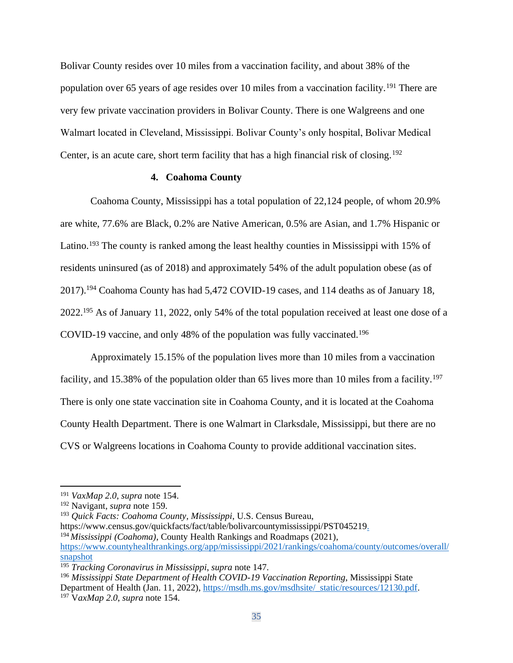Bolivar County resides over 10 miles from a vaccination facility, and about 38% of the population over 65 years of age resides over 10 miles from a vaccination facility.<sup>191</sup> There are very few private vaccination providers in Bolivar County. There is one Walgreens and one Walmart located in Cleveland, Mississippi. Bolivar County's only hospital, Bolivar Medical Center, is an acute care, short term facility that has a high financial risk of closing.<sup>192</sup>

### **4. Coahoma County**

Coahoma County, Mississippi has a total population of 22,124 people, of whom 20.9% are white, 77.6% are Black, 0.2% are Native American, 0.5% are Asian, and 1.7% Hispanic or Latino.<sup>193</sup> The county is ranked among the least healthy counties in Mississippi with 15% of residents uninsured (as of 2018) and approximately 54% of the adult population obese (as of 2017).<sup>194</sup> Coahoma County has had 5,472 COVID-19 cases, and 114 deaths as of January 18, 2022.<sup>195</sup> As of January 11, 2022, only 54% of the total population received at least one dose of a COVID-19 vaccine, and only 48% of the population was fully vaccinated.<sup>196</sup>

Approximately 15.15% of the population lives more than 10 miles from a vaccination facility, and 15.38% of the population older than 65 lives more than 10 miles from a facility.<sup>197</sup> There is only one state vaccination site in Coahoma County, and it is located at the Coahoma County Health Department. There is one Walmart in Clarksdale, Mississippi, but there are no CVS or Walgreens locations in Coahoma County to provide additional vaccination sites.

[https://www.census.gov/quickfacts/fact/table/bolivarcountymississippi/PST045219.](https://www.census.gov/quickfacts/fact/table/bolivarcountymississippi/PST045219) <sup>194</sup> *Mississippi (Coahoma)*, County Health Rankings and Roadmaps (2021), [https://www.countyhealthrankings.org/app/mississippi/2021/rankings/coahoma/county/outcomes/overall/](https://www.countyhealthrankings.org/app/mississippi/2021/rankings/coahoma/county/outcomes/overall/snapshot) [snapshot](https://www.countyhealthrankings.org/app/mississippi/2021/rankings/coahoma/county/outcomes/overall/snapshot)

<sup>191</sup> *VaxMap 2.0*, *supra* note 154.

<sup>192</sup> Navigant*, supra* note 159.

<sup>193</sup> *Quick Facts: Coahoma County, Mississippi*, U.S. Census Bureau,

<sup>195</sup> *Tracking Coronavirus in Mississippi*, *supra* note 147.

<sup>196</sup> *Mississippi State Department of Health COVID-19 Vaccination Reporting*, Mississippi State Department of Health (Jan. 11, 2022), [https://msdh.ms.gov/msdhsite/\\_static/resources/12130.pdf.](https://msdh.ms.gov/msdhsite/_static/resources/12130.pdf) <sup>197</sup> V*axMap 2.0*, *supra* note 154.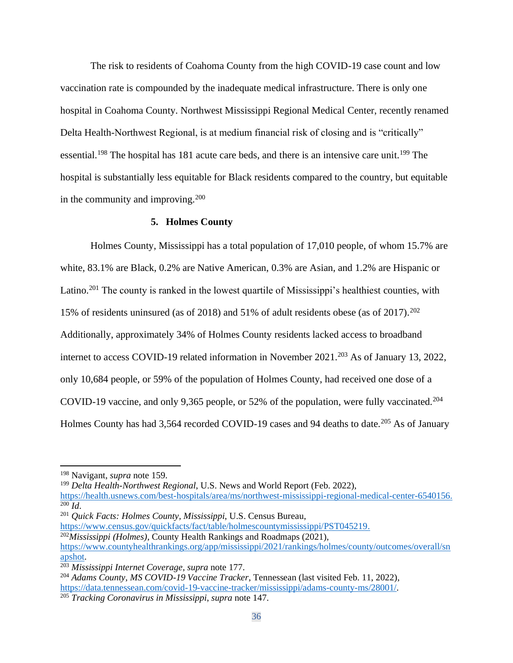The risk to residents of Coahoma County from the high COVID-19 case count and low vaccination rate is compounded by the inadequate medical infrastructure. There is only one hospital in Coahoma County. Northwest Mississippi Regional Medical Center, recently renamed Delta Health-Northwest Regional, is at medium financial risk of closing and is "critically" essential.<sup>198</sup> The hospital has 181 acute care beds, and there is an intensive care unit.<sup>199</sup> The hospital is substantially less equitable for Black residents compared to the country, but equitable in the community and improving.<sup>200</sup>

## **5. Holmes County**

Holmes County, Mississippi has a total population of 17,010 people, of whom 15.7% are white, 83.1% are Black, 0.2% are Native American, 0.3% are Asian, and 1.2% are Hispanic or Latino.<sup>201</sup> The county is ranked in the lowest quartile of Mississippi's healthiest counties, with 15% of residents uninsured (as of 2018) and 51% of adult residents obese (as of 2017).<sup>202</sup> Additionally, approximately 34% of Holmes County residents lacked access to broadband internet to access COVID-19 related information in November 2021.<sup>203</sup> As of January 13, 2022, only 10,684 people, or 59% of the population of Holmes County, had received one dose of a COVID-19 vaccine, and only 9,365 people, or 52% of the population, were fully vaccinated.<sup>204</sup> Holmes County has had 3,564 recorded COVID-19 cases and 94 deaths to date.<sup>205</sup> As of January

<sup>199</sup> *Delta Health-Northwest Regional*, U.S. News and World Report (Feb. 2022),

<sup>201</sup> *Quick Facts: Holmes County, Mississippi*, U.S. Census Bureau,

[https://www.census.gov/quickfacts/fact/table/holmescountymississippi/PST045219.](https://www.census.gov/quickfacts/fact/table/holmescountymississippi/PST045219) <sup>202</sup>*Mississippi (Holmes)*, County Health Rankings and Roadmaps (2021),

<sup>198</sup> Navigant, *supra* note 159.

[https://health.usnews.com/best-hospitals/area/ms/northwest-mississippi-regional-medical-center-6540156.](https://health.usnews.com/best-hospitals/area/ms/northwest-mississippi-regional-medical-center-6540156) <sup>200</sup> *Id*.

[https://www.countyhealthrankings.org/app/mississippi/2021/rankings/holmes/county/outcomes/overall/sn](https://www.countyhealthrankings.org/app/mississippi/2021/rankings/holmes/county/outcomes/overall/snapshot) [apshot.](https://www.countyhealthrankings.org/app/mississippi/2021/rankings/holmes/county/outcomes/overall/snapshot)

<sup>203</sup> *Mississippi Internet Coverage*, *supra* note 177.

<sup>204</sup> *Adams County, MS COVID-19 Vaccine Tracker*, Tennessean (last visited Feb. 11, 2022), [https://data.tennessean.com/covid-19-vaccine-tracker/mississippi/adams-county-ms/28001/.](https://data.tennessean.com/covid-19-vaccine-tracker/mississippi/adams-county-ms/28001/) <sup>205</sup> *Tracking Coronavirus in Mississippi*, *supra* note 147.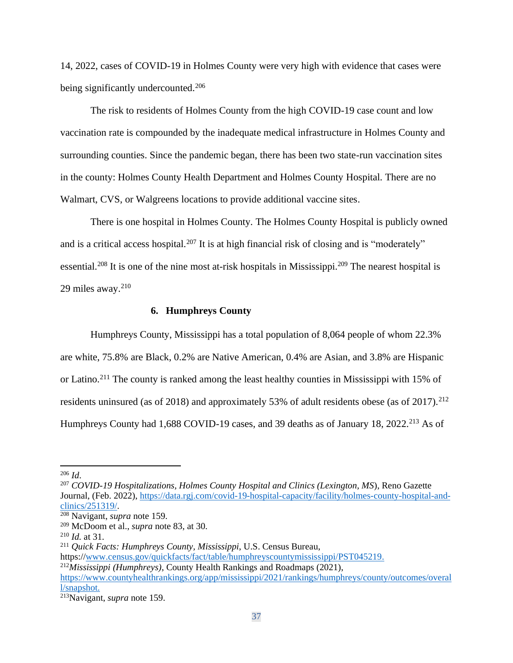14, 2022, cases of COVID-19 in Holmes County were very high with evidence that cases were being significantly undercounted.<sup>206</sup>

The risk to residents of Holmes County from the high COVID-19 case count and low vaccination rate is compounded by the inadequate medical infrastructure in Holmes County and surrounding counties. Since the pandemic began, there has been two state-run vaccination sites in the county: Holmes County Health Department and Holmes County Hospital. There are no Walmart, CVS, or Walgreens locations to provide additional vaccine sites.

There is one hospital in Holmes County. The Holmes County Hospital is publicly owned and is a critical access hospital.<sup>207</sup> It is at high financial risk of closing and is "moderately" essential.<sup>208</sup> It is one of the nine most at-risk hospitals in Mississippi.<sup>209</sup> The nearest hospital is 29 miles away. $210$ 

## **6. Humphreys County**

Humphreys County, Mississippi has a total population of 8,064 people of whom 22.3% are white, 75.8% are Black, 0.2% are Native American, 0.4% are Asian, and 3.8% are Hispanic or Latino.<sup>211</sup> The county is ranked among the least healthy counties in Mississippi with 15% of residents uninsured (as of 2018) and approximately 53% of adult residents obese (as of 2017).<sup>212</sup> Humphreys County had 1,688 COVID-19 cases, and 39 deaths as of January 18, 2022.<sup>213</sup> As of

<sup>206</sup> *Id*.

<sup>207</sup> *COVID-19 Hospitalizations, Holmes County Hospital and Clinics (Lexington, MS*), Reno Gazette Journal, (Feb. 2022)[, https://data.rgj.com/covid-19-hospital-capacity/facility/holmes-county-hospital-and](https://data.rgj.com/covid-19-hospital-capacity/facility/holmes-county-hospital-and-clinics/251319/)[clinics/251319/.](https://data.rgj.com/covid-19-hospital-capacity/facility/holmes-county-hospital-and-clinics/251319/)

<sup>208</sup> Navigant, *supra* note 159.

<sup>209</sup> McDoom et al., *supra* note 83, at 30.

<sup>210</sup> *Id.* at 31.

<sup>211</sup> *Quick Facts: Humphreys County, Mississippi*, U.S. Census Bureau,

[https://](https://www.census.gov/quickfacts/fact/table/holmescountymississippi/PST045219)[www.census.gov/quickfacts/fact/table/humphreyscountymississippi/PST045219.](http://www.census.gov/quickfacts/fact/table/humphreyscountymississippi/PST045219)

<sup>212</sup>*Mississippi (Humphreys)*, County Health Rankings and Roadmaps (2021),

[https://www.countyhealthrankings.org/app/mississippi/2021/rankings/humphreys/county/outcomes/overal](https://www.countyhealthrankings.org/app/mississippi/2021/rankings/humphreys/county/outcomes/overall/snapshot) [l/snapshot.](https://www.countyhealthrankings.org/app/mississippi/2021/rankings/humphreys/county/outcomes/overall/snapshot)

<sup>213</sup>Navigant, *supra* note 159.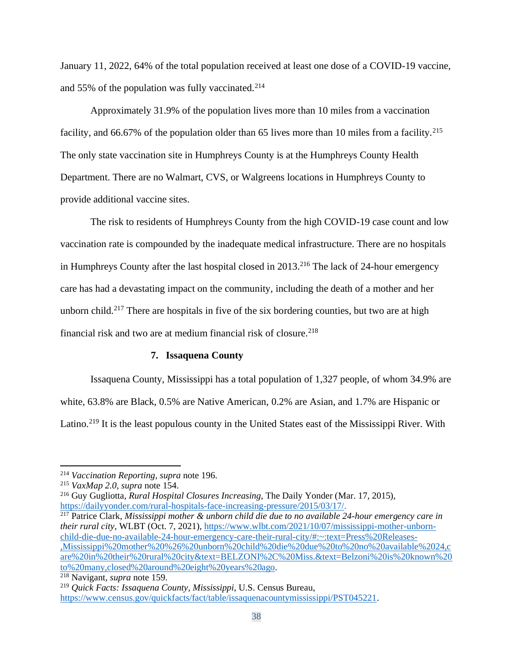January 11, 2022, 64% of the total population received at least one dose of a COVID-19 vaccine, and 55% of the population was fully vaccinated. $214$ 

Approximately 31.9% of the population lives more than 10 miles from a vaccination facility, and 66.67% of the population older than 65 lives more than 10 miles from a facility.<sup>215</sup> The only state vaccination site in Humphreys County is at the Humphreys County Health Department. There are no Walmart, CVS, or Walgreens locations in Humphreys County to provide additional vaccine sites.

The risk to residents of Humphreys County from the high COVID-19 case count and low vaccination rate is compounded by the inadequate medical infrastructure. There are no hospitals in Humphreys County after the last hospital closed in 2013.<sup>216</sup> The lack of 24-hour emergency care has had a devastating impact on the community, including the death of a mother and her unborn child.<sup>217</sup> There are hospitals in five of the six bordering counties, but two are at high financial risk and two are at medium financial risk of closure. 218

#### **7. Issaquena County**

Issaquena County, Mississippi has a total population of 1,327 people, of whom 34.9% are white, 63.8% are Black, 0.5% are Native American, 0.2% are Asian, and 1.7% are Hispanic or Latino.<sup>219</sup> It is the least populous county in the United States east of the Mississippi River. With

<sup>216</sup> Guy Gugliotta, *Rural Hospital Closures Increasing*, The Daily Yonder (Mar. 17, 2015), [https://dailyyonder.com/rural-hospitals-face-increasing-pressure/2015/03/17/.](https://dailyyonder.com/rural-hospitals-face-increasing-pressure/2015/03/17/)

<sup>217</sup> Patrice Clark, *Mississippi mother & unborn child die due to no available 24-hour emergency care in their rural city*, WLBT (Oct. 7, 2021)[, https://www.wlbt.com/2021/10/07/mississippi-mother-unborn](https://www.wlbt.com/2021/10/07/mississippi-mother-unborn-child-die-due-no-available-24-hour-emergency-care-their-rural-city/#:~:text=Press%20Releases-,Mississippi%20mother%20%26%20unborn%20child%20die%20due%20to%20no%20available%2024,care%20in%20their%20rural%20city&text=BELZONI%2C%20Miss.&text=Belzoni%20is%20known%20to%20many,closed%20around%20eight%20years%20ago)[child-die-due-no-available-24-hour-emergency-care-their-rural-city/#:~:text=Press%20Releases-](https://www.wlbt.com/2021/10/07/mississippi-mother-unborn-child-die-due-no-available-24-hour-emergency-care-their-rural-city/#:~:text=Press%20Releases-,Mississippi%20mother%20%26%20unborn%20child%20die%20due%20to%20no%20available%2024,care%20in%20their%20rural%20city&text=BELZONI%2C%20Miss.&text=Belzoni%20is%20known%20to%20many,closed%20around%20eight%20years%20ago) [,Mississippi%20mother%20%26%20unborn%20child%20die%20due%20to%20no%20available%2024,c](https://www.wlbt.com/2021/10/07/mississippi-mother-unborn-child-die-due-no-available-24-hour-emergency-care-their-rural-city/#:~:text=Press%20Releases-,Mississippi%20mother%20%26%20unborn%20child%20die%20due%20to%20no%20available%2024,care%20in%20their%20rural%20city&text=BELZONI%2C%20Miss.&text=Belzoni%20is%20known%20to%20many,closed%20around%20eight%20years%20ago) [are%20in%20their%20rural%20city&text=BELZONI%2C%20Miss.&text=Belzoni%20is%20known%20](https://www.wlbt.com/2021/10/07/mississippi-mother-unborn-child-die-due-no-available-24-hour-emergency-care-their-rural-city/#:~:text=Press%20Releases-,Mississippi%20mother%20%26%20unborn%20child%20die%20due%20to%20no%20available%2024,care%20in%20their%20rural%20city&text=BELZONI%2C%20Miss.&text=Belzoni%20is%20known%20to%20many,closed%20around%20eight%20years%20ago) [to%20many,closed%20around%20eight%20years%20ago.](https://www.wlbt.com/2021/10/07/mississippi-mother-unborn-child-die-due-no-available-24-hour-emergency-care-their-rural-city/#:~:text=Press%20Releases-,Mississippi%20mother%20%26%20unborn%20child%20die%20due%20to%20no%20available%2024,care%20in%20their%20rural%20city&text=BELZONI%2C%20Miss.&text=Belzoni%20is%20known%20to%20many,closed%20around%20eight%20years%20ago)

<sup>218</sup> Navigant, *supra* note 159.

<sup>214</sup> *Vaccination Reporting*, *supra* note 196.

<sup>215</sup> *VaxMap 2.0*, *supra* note 154.

<sup>219</sup> *Quick Facts: Issaquena County, Mississippi*, U.S. Census Bureau, [https://www.census.gov/quickfacts/fact/table/issaquenacountymississippi/PST045221.](https://www.census.gov/quickfacts/fact/table/issaquenacountymississippi/PST045221)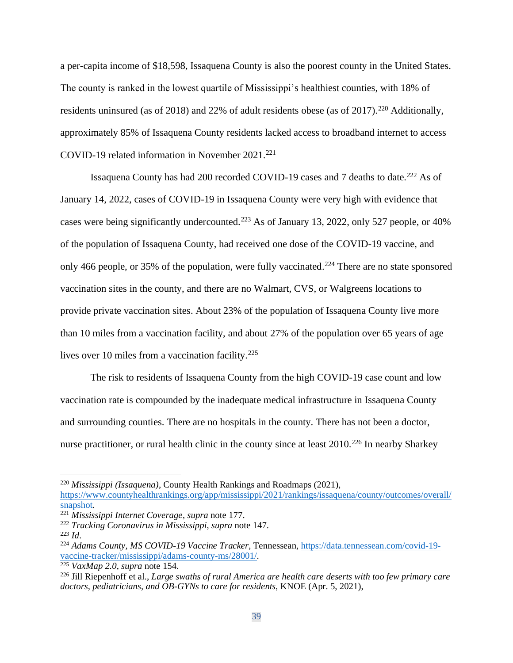a per-capita income of \$18,598, Issaquena County is also the poorest county in the United States. The county is ranked in the lowest quartile of Mississippi's healthiest counties, with 18% of residents uninsured (as of 2018) and 22% of adult residents obese (as of 2017).<sup>220</sup> Additionally, approximately 85% of Issaquena County residents lacked access to broadband internet to access COVID-19 related information in November 2021.<sup>221</sup>

Issaquena County has had 200 recorded COVID-19 cases and 7 deaths to date.<sup>222</sup> As of January 14, 2022, cases of COVID-19 in Issaquena County were very high with evidence that cases were being significantly undercounted.<sup>223</sup> As of January 13, 2022, only 527 people, or 40% of the population of Issaquena County, had received one dose of the COVID-19 vaccine, and only 466 people, or 35% of the population, were fully vaccinated.<sup>224</sup> There are no state sponsored vaccination sites in the county, and there are no Walmart, CVS, or Walgreens locations to provide private vaccination sites. About 23% of the population of Issaquena County live more than 10 miles from a vaccination facility, and about 27% of the population over 65 years of age lives over 10 miles from a vaccination facility.<sup>225</sup>

The risk to residents of Issaquena County from the high COVID-19 case count and low vaccination rate is compounded by the inadequate medical infrastructure in Issaquena County and surrounding counties. There are no hospitals in the county. There has not been a doctor, nurse practitioner, or rural health clinic in the county since at least 2010.<sup>226</sup> In nearby Sharkey

<sup>220</sup> *Mississippi (Issaquena)*, County Health Rankings and Roadmaps (2021),

[https://www.countyhealthrankings.org/app/mississippi/2021/rankings/issaquena/county/outcomes/overall/](https://www.countyhealthrankings.org/app/mississippi/2021/rankings/issaquena/county/outcomes/overall/snapshot) [snapshot.](https://www.countyhealthrankings.org/app/mississippi/2021/rankings/issaquena/county/outcomes/overall/snapshot)

<sup>221</sup> *Mississippi Internet Coverage*, *supra* note 177.

<sup>222</sup> *Tracking Coronavirus in Mississippi*, *supra* note 147.

<sup>223</sup> *Id*.

<sup>224</sup> *Adams County, MS COVID-19 Vaccine Tracker*, Tennessean, [https://data.tennessean.com/covid-19](https://data.tennessean.com/covid-19-vaccine-tracker/mississippi/adams-county-ms/28001/) [vaccine-tracker/mississippi/adams-county-ms/28001/.](https://data.tennessean.com/covid-19-vaccine-tracker/mississippi/adams-county-ms/28001/)

<sup>225</sup> *VaxMap 2.0*, *supra* note 154.

<sup>226</sup> Jill Riepenhoff et al., *Large swaths of rural America are health care deserts with too few primary care doctors, pediatricians, and OB-GYNs to care for residents*, KNOE (Apr. 5, 2021),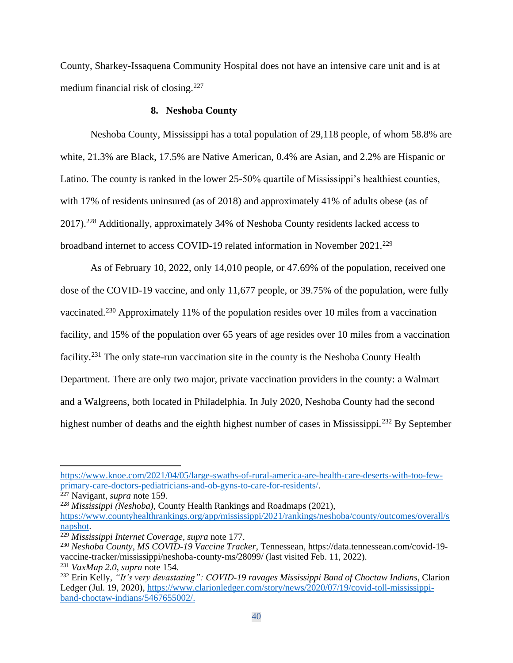County, Sharkey-Issaquena Community Hospital does not have an intensive care unit and is at medium financial risk of closing.<sup>227</sup>

### **8. Neshoba County**

Neshoba County, Mississippi has a total population of 29,118 people, of whom 58.8% are white, 21.3% are Black, 17.5% are Native American, 0.4% are Asian, and 2.2% are Hispanic or Latino. The county is ranked in the lower 25-50% quartile of Mississippi's healthiest counties, with 17% of residents uninsured (as of 2018) and approximately 41% of adults obese (as of 2017).<sup>228</sup> Additionally, approximately 34% of Neshoba County residents lacked access to broadband internet to access COVID-19 related information in November 2021.<sup>229</sup>

As of February 10, 2022, only 14,010 people, or 47.69% of the population, received one dose of the COVID-19 vaccine, and only 11,677 people, or 39.75% of the population, were fully vaccinated.<sup>230</sup> Approximately 11% of the population resides over 10 miles from a vaccination facility, and 15% of the population over 65 years of age resides over 10 miles from a vaccination facility.<sup>231</sup> The only state-run vaccination site in the county is the Neshoba County Health Department. There are only two major, private vaccination providers in the county: a Walmart and a Walgreens, both located in Philadelphia. In July 2020, Neshoba County had the second highest number of deaths and the eighth highest number of cases in Mississippi.<sup>232</sup> By September

[https://www.knoe.com/2021/04/05/large-swaths-of-rural-america-are-health-care-deserts-with-too-few](https://www.knoe.com/2021/04/05/large-swaths-of-rural-america-are-health-care-deserts-with-too-few-primary-care-doctors-pediatricians-and-ob-gyns-to-care-for-residents/)[primary-care-doctors-pediatricians-and-ob-gyns-to-care-for-residents/.](https://www.knoe.com/2021/04/05/large-swaths-of-rural-america-are-health-care-deserts-with-too-few-primary-care-doctors-pediatricians-and-ob-gyns-to-care-for-residents/)

<sup>&</sup>lt;sup>227</sup> Navigant, *supra* note 159.

<sup>228</sup> *Mississippi (Neshoba)*, County Health Rankings and Roadmaps (2021), [https://www.countyhealthrankings.org/app/mississippi/2021/rankings/neshoba/county/outcomes/overall/s](https://www.countyhealthrankings.org/app/mississippi/2021/rankings/neshoba/county/outcomes/overall/snapshot) [napshot.](https://www.countyhealthrankings.org/app/mississippi/2021/rankings/neshoba/county/outcomes/overall/snapshot)

<sup>229</sup> *Mississippi Internet Coverage*, *supra* note 177.

<sup>230</sup> *Neshoba County, MS COVID-19 Vaccine Tracker*, Tennessean, https://data.tennessean.com/covid-19 vaccine-tracker/mississippi/neshoba-county-ms/28099/ (last visited Feb. 11, 2022). <sup>231</sup> *VaxMap 2.0*, *supra* note 154.

<sup>232</sup> Erin Kelly, *"It's very devastating": COVID-19 ravages Mississippi Band of Choctaw Indians*, Clarion Ledger (Jul. 19, 2020), [https://www.clarionledger.com/story/news/2020/07/19/covid-toll-mississippi](https://www.clarionledger.com/story/news/2020/07/19/covid-toll-mississippi-band-choctaw-indians/5467655002/)[band-choctaw-indians/5467655002/.](https://www.clarionledger.com/story/news/2020/07/19/covid-toll-mississippi-band-choctaw-indians/5467655002/)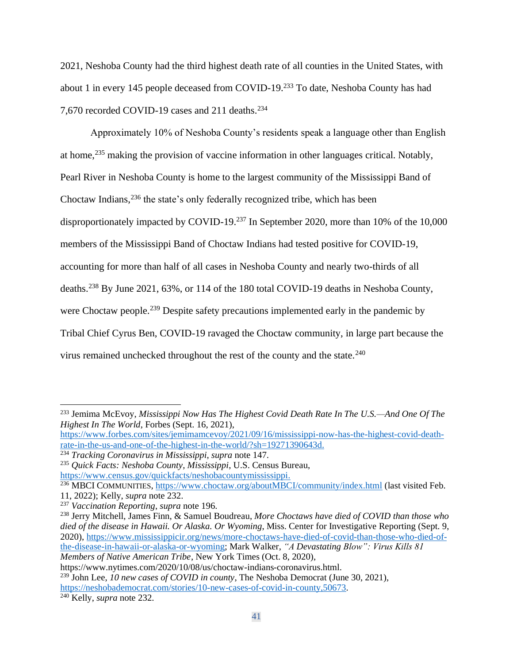2021, Neshoba County had the third highest death rate of all counties in the United States, with about 1 in every 145 people deceased from COVID-19.<sup>233</sup> To date, Neshoba County has had 7,670 recorded COVID-19 cases and 211 deaths.<sup>234</sup>

Approximately 10% of Neshoba County's residents speak a language other than English at home,<sup>235</sup> making the provision of vaccine information in other languages critical. Notably, Pearl River in Neshoba County is home to the largest community of the Mississippi Band of Choctaw Indians,<sup>236</sup> the state's only federally recognized tribe, which has been disproportionately impacted by COVID-19.<sup>237</sup> In September 2020, more than 10% of the 10,000 members of the Mississippi Band of Choctaw Indians had tested positive for COVID-19, accounting for more than half of all cases in Neshoba County and nearly two-thirds of all deaths.<sup>238</sup> By June 2021, 63%, or 114 of the 180 total COVID-19 deaths in Neshoba County, were Choctaw people.<sup>239</sup> Despite safety precautions implemented early in the pandemic by Tribal Chief Cyrus Ben, COVID-19 ravaged the Choctaw community, in large part because the virus remained unchecked throughout the rest of the county and the state.<sup>240</sup>

<sup>233</sup> Jemima McEvoy, *Mississippi Now Has The Highest Covid Death Rate In The U.S.—And One Of The Highest In The World*, Forbes (Sept. 16, 2021),

[https://www.forbes.com/sites/jemimamcevoy/2021/09/16/mississippi-now-has-the-highest-covid-death](https://www.forbes.com/sites/jemimamcevoy/2021/09/16/mississippi-now-has-the-highest-covid-death-rate-in-the-us-and-one-of-the-highest-in-the-world/?sh=19271390643d)[rate-in-the-us-and-one-of-the-highest-in-the-world/?sh=19271390643d.](https://www.forbes.com/sites/jemimamcevoy/2021/09/16/mississippi-now-has-the-highest-covid-death-rate-in-the-us-and-one-of-the-highest-in-the-world/?sh=19271390643d)

<sup>234</sup> *Tracking Coronavirus in Mississippi*, *supra* note 147.

<sup>235</sup> *Quick Facts: Neshoba County, Mississippi*, U.S. Census Bureau, [https://www.census.gov/quickfacts/neshobacountymississippi.](https://www.census.gov/quickfacts/neshobacountymississippi)

<sup>236</sup> MBCI COMMUNITIES,<https://www.choctaw.org/aboutMBCI/community/index.html> (last visited Feb. 11, 2022); Kelly, *supra* note 232.

<sup>237</sup> *Vaccination Reporting*, *supra* note 196.

<sup>238</sup> Jerry Mitchell, James Finn, & Samuel Boudreau, *More Choctaws have died of COVID than those who died of the disease in Hawaii. Or Alaska. Or Wyoming*, Miss. Center for Investigative Reporting (Sept. 9, 2020), [https://www.mississippicir.org/news/more-choctaws-have-died-of-covid-than-those-who-died-of](https://www.mississippicir.org/news/more-choctaws-have-died-of-covid-than-those-who-died-of-the-disease-in-hawaii-or-alaska-or-wyoming)[the-disease-in-hawaii-or-alaska-or-wyoming;](https://www.mississippicir.org/news/more-choctaws-have-died-of-covid-than-those-who-died-of-the-disease-in-hawaii-or-alaska-or-wyoming) Mark Walker, *"A Devastating Blow": Virus Kills 81 Members of Native American Tribe*, New York Times (Oct. 8, 2020),

https://www.nytimes.com/2020/10/08/us/choctaw-indians-coronavirus.html. <sup>239</sup> John Lee, *10 new cases of COVID in county*, The Neshoba Democrat (June 30, 2021),

[https://neshobademocrat.com/stories/10-new-cases-of-covid-in-county,50673.](https://neshobademocrat.com/stories/10-new-cases-of-covid-in-county,50673)

<sup>240</sup> Kelly, *supra* note 232.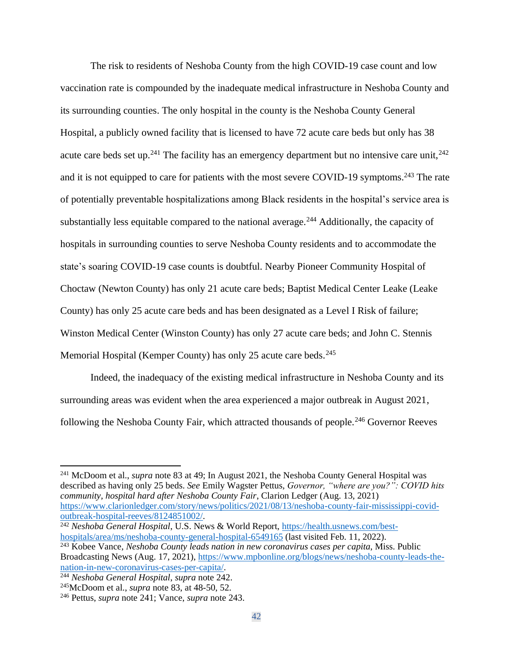The risk to residents of Neshoba County from the high COVID-19 case count and low vaccination rate is compounded by the inadequate medical infrastructure in Neshoba County and its surrounding counties. The only hospital in the county is the Neshoba County General Hospital, a publicly owned facility that is licensed to have 72 acute care beds but only has 38 acute care beds set up.<sup>241</sup> The facility has an emergency department but no intensive care unit,  $242$ and it is not equipped to care for patients with the most severe COVID-19 symptoms.<sup>243</sup> The rate of potentially preventable hospitalizations among Black residents in the hospital's service area is substantially less equitable compared to the national average.<sup>244</sup> Additionally, the capacity of hospitals in surrounding counties to serve Neshoba County residents and to accommodate the state's soaring COVID-19 case counts is doubtful. Nearby Pioneer Community Hospital of Choctaw (Newton County) has only 21 acute care beds; Baptist Medical Center Leake (Leake County) has only 25 acute care beds and has been designated as a Level I Risk of failure; Winston Medical Center (Winston County) has only 27 acute care beds; and John C. Stennis Memorial Hospital (Kemper County) has only 25 acute care beds.<sup>245</sup>

Indeed, the inadequacy of the existing medical infrastructure in Neshoba County and its surrounding areas was evident when the area experienced a major outbreak in August 2021, following the Neshoba County Fair, which attracted thousands of people.<sup>246</sup> Governor Reeves

<sup>241</sup> McDoom et al., *supra* note 83 at 49; In August 2021, the Neshoba County General Hospital was described as having only 25 beds. *See* Emily Wagster Pettus, *Governor, "where are you?": COVID hits community, hospital hard after Neshoba County Fair*, Clarion Ledger (Aug. 13, 2021) [https://www.clarionledger.com/story/news/politics/2021/08/13/neshoba-county-fair-mississippi-covid](https://www.clarionledger.com/story/news/politics/2021/08/13/neshoba-county-fair-mississippi-covid-outbreak-hospital-reeves/8124851002/)[outbreak-hospital-reeves/8124851002/.](https://www.clarionledger.com/story/news/politics/2021/08/13/neshoba-county-fair-mississippi-covid-outbreak-hospital-reeves/8124851002/)

<sup>242</sup> *Neshoba General Hospital*, U.S. News & World Report, [https://health.usnews.com/best](https://health.usnews.com/best-hospitals/area/ms/neshoba-county-general-hospital-6549165)[hospitals/area/ms/neshoba-county-general-hospital-6549165](https://health.usnews.com/best-hospitals/area/ms/neshoba-county-general-hospital-6549165) (last visited Feb. 11, 2022).

<sup>243</sup> Kobee Vance, *Neshoba County leads nation in new coronavirus cases per capita*, Miss. Public Broadcasting News (Aug. 17, 2021), [https://www.mpbonline.org/blogs/news/neshoba-county-leads-the](https://www.mpbonline.org/blogs/news/neshoba-county-leads-the-nation-in-new-coronavirus-cases-per-capita/)[nation-in-new-coronavirus-cases-per-capita/.](https://www.mpbonline.org/blogs/news/neshoba-county-leads-the-nation-in-new-coronavirus-cases-per-capita/)

<sup>244</sup> *Neshoba General Hospital*, *supra* note 242.

<sup>245</sup>McDoom et al., *supra* note 83, at 48-50, 52.

<sup>246</sup> Pettus, *supra* note 241; Vance, *supra* note 243.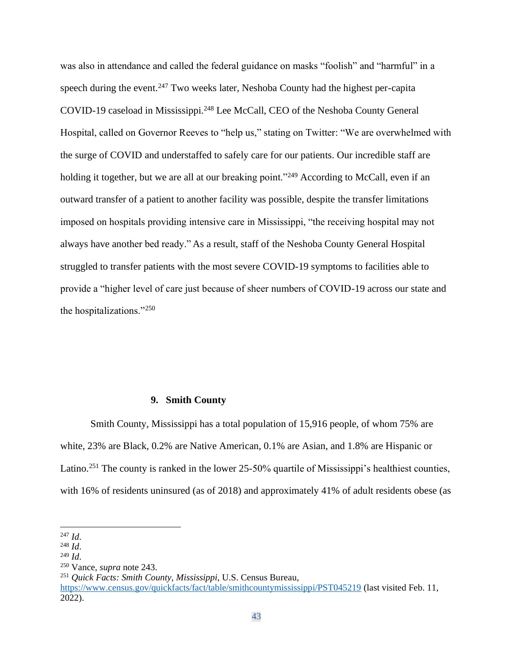was also in attendance and called the federal guidance on masks "foolish" and "harmful" in a speech during the event.<sup>247</sup> Two weeks later, Neshoba County had the highest per-capita COVID-19 caseload in Mississippi.<sup>248</sup> Lee McCall, CEO of the Neshoba County General Hospital, called on Governor Reeves to "help us," stating on Twitter: "We are overwhelmed with the surge of COVID and understaffed to safely care for our patients. Our incredible staff are holding it together, but we are all at our breaking point."<sup>249</sup> According to McCall, even if an outward transfer of a patient to another facility was possible, despite the transfer limitations imposed on hospitals providing intensive care in Mississippi, "the receiving hospital may not always have another bed ready." As a result, staff of the Neshoba County General Hospital struggled to transfer patients with the most severe COVID-19 symptoms to facilities able to provide a "higher level of care just because of sheer numbers of COVID-19 across our state and the hospitalizations."<sup>250</sup>

### **9. Smith County**

Smith County, Mississippi has a total population of 15,916 people, of whom 75% are white, 23% are Black, 0.2% are Native American, 0.1% are Asian, and 1.8% are Hispanic or Latino.<sup>251</sup> The county is ranked in the lower 25-50% quartile of Mississippi's healthiest counties, with 16% of residents uninsured (as of 2018) and approximately 41% of adult residents obese (as

<sup>251</sup> *Quick Facts: Smith County, Mississippi*, U.S. Census Bureau,

<sup>247</sup> *Id*.

<sup>248</sup> *Id*.

<sup>249</sup> *Id*.

<sup>250</sup> Vance, *supra* note 243.

<https://www.census.gov/quickfacts/fact/table/smithcountymississippi/PST045219> (last visited Feb. 11, 2022).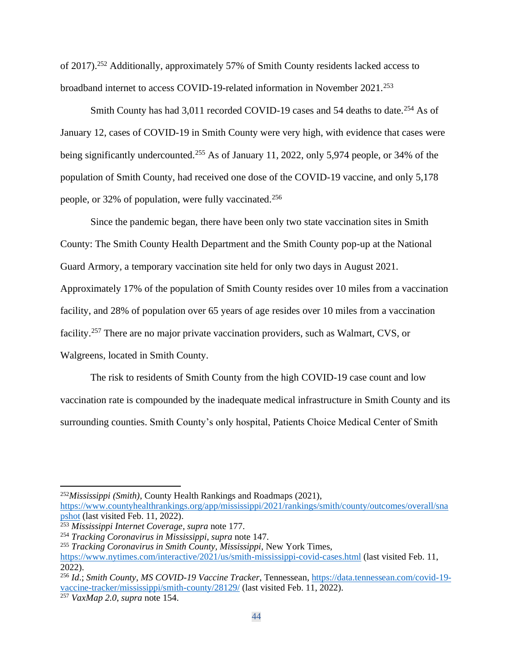of 2017).<sup>252</sup> Additionally, approximately 57% of Smith County residents lacked access to broadband internet to access COVID-19-related information in November 2021.<sup>253</sup>

Smith County has had 3,011 recorded COVID-19 cases and 54 deaths to date.<sup>254</sup> As of January 12, cases of COVID-19 in Smith County were very high, with evidence that cases were being significantly undercounted.<sup>255</sup> As of January 11, 2022, only 5,974 people, or 34% of the population of Smith County, had received one dose of the COVID-19 vaccine, and only 5,178 people, or 32% of population, were fully vaccinated.<sup>256</sup>

Since the pandemic began, there have been only two state vaccination sites in Smith County: The Smith County Health Department and the Smith County pop-up at the National Guard Armory, a temporary vaccination site held for only two days in August 2021. Approximately 17% of the population of Smith County resides over 10 miles from a vaccination facility, and 28% of population over 65 years of age resides over 10 miles from a vaccination facility.<sup>257</sup> There are no major private vaccination providers, such as Walmart, CVS, or Walgreens, located in Smith County.

The risk to residents of Smith County from the high COVID-19 case count and low vaccination rate is compounded by the inadequate medical infrastructure in Smith County and its surrounding counties. Smith County's only hospital, Patients Choice Medical Center of Smith

<sup>252</sup>*Mississippi (Smith)*, County Health Rankings and Roadmaps (2021), [https://www.countyhealthrankings.org/app/mississippi/2021/rankings/smith/county/outcomes/overall/sna](https://www.countyhealthrankings.org/app/mississippi/2021/rankings/smith/county/outcomes/overall/snapshot) [pshot](https://www.countyhealthrankings.org/app/mississippi/2021/rankings/smith/county/outcomes/overall/snapshot) (last visited Feb. 11, 2022).

<sup>253</sup> *Mississippi Internet Coverage*, *supra* note 177.

<sup>254</sup> *Tracking Coronavirus in Mississippi*, *supra* note 147.

<sup>255</sup> *Tracking Coronavirus in Smith County, Mississippi*, New York Times, <https://www.nytimes.com/interactive/2021/us/smith-mississippi-covid-cases.html> (last visited Feb. 11,  $2022$ ).

<sup>256</sup> *Id*.; *Smith County, MS COVID-19 Vaccine Tracker*, Tennessean, [https://data.tennessean.com/covid-19](https://data.tennessean.com/covid-19-vaccine-tracker/mississippi/smith-county/28129/) [vaccine-tracker/mississippi/smith-county/28129/](https://data.tennessean.com/covid-19-vaccine-tracker/mississippi/smith-county/28129/) (last visited Feb. 11, 2022).

<sup>257</sup> *VaxMap 2.0*, *supra* note 154.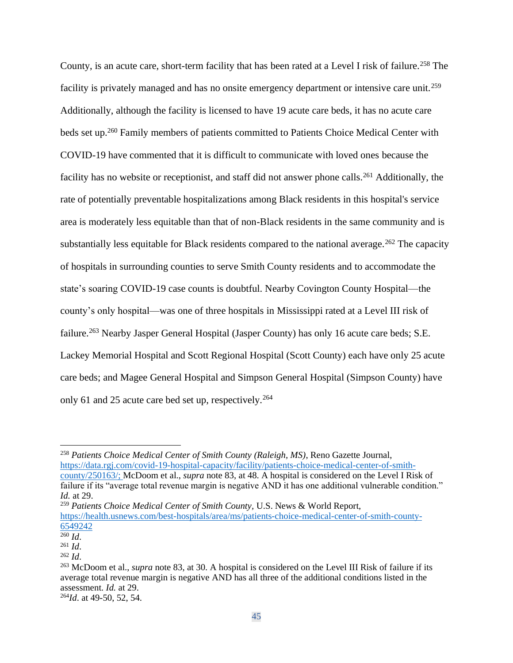County, is an acute care, short-term facility that has been rated at a Level I risk of failure.<sup>258</sup> The facility is privately managed and has no onsite emergency department or intensive care unit.<sup>259</sup> Additionally, although the facility is licensed to have 19 acute care beds, it has no acute care beds set up.<sup>260</sup> Family members of patients committed to Patients Choice Medical Center with COVID-19 have commented that it is difficult to communicate with loved ones because the facility has no website or receptionist, and staff did not answer phone calls.<sup>261</sup> Additionally, the rate of potentially preventable hospitalizations among Black residents in this hospital's service area is moderately less equitable than that of non-Black residents in the same community and is substantially less equitable for Black residents compared to the national average.<sup>262</sup> The capacity of hospitals in surrounding counties to serve Smith County residents and to accommodate the state's soaring COVID-19 case counts is doubtful. Nearby Covington County Hospital—the county's only hospital—was one of three hospitals in Mississippi rated at a Level III risk of failure.<sup>263</sup> Nearby Jasper General Hospital (Jasper County) has only 16 acute care beds; S.E. Lackey Memorial Hospital and Scott Regional Hospital (Scott County) each have only 25 acute care beds; and Magee General Hospital and Simpson General Hospital (Simpson County) have only 61 and 25 acute care bed set up, respectively.<sup>264</sup>

<sup>259</sup> *Patients Choice Medical Center of Smith County,* U.S. News & World Report, [https://health.usnews.com/best-hospitals/area/ms/patients-choice-medical-center-of-smith-county-](https://health.usnews.com/best-hospitals/area/ms/patients-choice-medical-center-of-smith-county-6549242)[6549242](https://health.usnews.com/best-hospitals/area/ms/patients-choice-medical-center-of-smith-county-6549242)

<sup>258</sup> *Patients Choice Medical Center of Smith County (Raleigh, MS)*, Reno Gazette Journal, [https://data.rgj.com/covid-19-hospital-capacity/facility/patients-choice-medical-center-of-smith](https://data.rgj.com/covid-19-hospital-capacity/facility/patients-choice-medical-center-of-smith-county/250163/)[county/250163/;](https://data.rgj.com/covid-19-hospital-capacity/facility/patients-choice-medical-center-of-smith-county/250163/) McDoom et al., *supra* note 83, at 48. A hospital is considered on the Level I Risk of failure if its "average total revenue margin is negative AND it has one additional vulnerable condition." *Id.* at 29.

 $\overline{^{260}Id}$ .

<sup>261</sup> *Id*.

<sup>262</sup> *Id*.

<sup>263</sup> McDoom et al., *supra* note 83, at 30. A hospital is considered on the Level III Risk of failure if its average total revenue margin is negative AND has all three of the additional conditions listed in the assessment. *Id.* at 29. 264*Id*. at 49-50, 52, 54.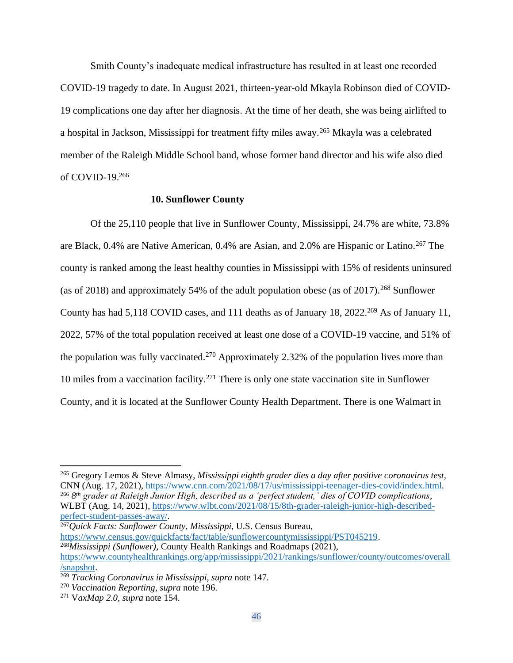Smith County's inadequate medical infrastructure has resulted in at least one recorded COVID-19 tragedy to date. In August 2021, thirteen-year-old Mkayla Robinson died of COVID-19 complications one day after her diagnosis. At the time of her death, she was being airlifted to a hospital in Jackson, Mississippi for treatment fifty miles away.<sup>265</sup> Mkayla was a celebrated member of the Raleigh Middle School band, whose former band director and his wife also died of COVID-19.<sup>266</sup>

### **10. Sunflower County**

Of the 25,110 people that live in Sunflower County, Mississippi, 24.7% are white, 73.8% are Black, 0.4% are Native American, 0.4% are Asian, and 2.0% are Hispanic or Latino.<sup>267</sup> The county is ranked among the least healthy counties in Mississippi with 15% of residents uninsured (as of 2018) and approximately 54% of the adult population obese (as of 2017).<sup>268</sup> Sunflower County has had 5,118 COVID cases, and 111 deaths as of January 18, 2022.<sup>269</sup> As of January 11, 2022, 57% of the total population received at least one dose of a COVID-19 vaccine, and 51% of the population was fully vaccinated.<sup>270</sup> Approximately 2.32% of the population lives more than 10 miles from a vaccination facility.<sup>271</sup> There is only one state vaccination site in Sunflower County, and it is located at the Sunflower County Health Department. There is one Walmart in

<sup>267</sup>*Quick Facts: Sunflower County, Mississippi*, U.S. Census Bureau,

[https://www.census.gov/quickfacts/fact/table/sunflowercountymississippi/PST045219.](https://www.census.gov/quickfacts/fact/table/sunflowercountymississippi/PST045219) <sup>268</sup>*Mississippi (Sunflower)*, County Health Rankings and Roadmaps (2021), [https://www.countyhealthrankings.org/app/mississippi/2021/rankings/sunflower/county/outcomes/overall](https://www.countyhealthrankings.org/app/mississippi/2021/rankings/sunflower/county/outcomes/overall/snapshot)

<sup>265</sup> Gregory Lemos & Steve Almasy, *Mississippi eighth grader dies a day after positive coronavirus test,*  CNN (Aug. 17, 2021), [https://www.cnn.com/2021/08/17/us/mississippi-teenager-dies-covid/index.html.](https://www.cnn.com/2021/08/17/us/mississippi-teenager-dies-covid/index.html) <sup>266</sup> *8 th grader at Raleigh Junior High, described as a 'perfect student,' dies of COVID complications,*  WLBT (Aug. 14, 2021), [https://www.wlbt.com/2021/08/15/8th-grader-raleigh-junior-high-described](https://www.wlbt.com/2021/08/15/8th-grader-raleigh-junior-high-described-perfect-student-passes-away/)[perfect-student-passes-away/.](https://www.wlbt.com/2021/08/15/8th-grader-raleigh-junior-high-described-perfect-student-passes-away/)

[<sup>/</sup>snapshot.](https://www.countyhealthrankings.org/app/mississippi/2021/rankings/sunflower/county/outcomes/overall/snapshot)

<sup>269</sup> *Tracking Coronavirus in Mississippi*, *supra* note 147.

<sup>270</sup> *Vaccination Reporting*, *supra* note 196.

<sup>271</sup> V*axMap 2.0*, *supra* note 154.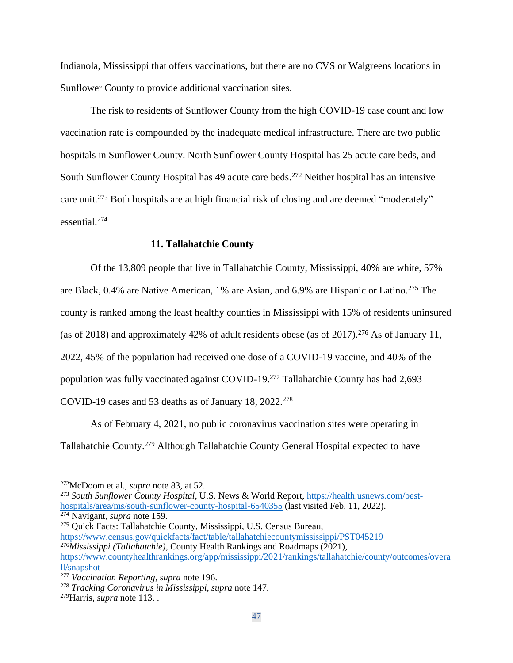Indianola, Mississippi that offers vaccinations, but there are no CVS or Walgreens locations in Sunflower County to provide additional vaccination sites.

The risk to residents of Sunflower County from the high COVID-19 case count and low vaccination rate is compounded by the inadequate medical infrastructure. There are two public hospitals in Sunflower County. North Sunflower County Hospital has 25 acute care beds, and South Sunflower County Hospital has 49 acute care beds.<sup>272</sup> Neither hospital has an intensive care unit.<sup>273</sup> Both hospitals are at high financial risk of closing and are deemed "moderately" essential.<sup>274</sup>

### **11. Tallahatchie County**

Of the 13,809 people that live in Tallahatchie County, Mississippi, 40% are white, 57% are Black, 0.4% are Native American, 1% are Asian, and 6.9% are Hispanic or Latino.<sup>275</sup> The county is ranked among the least healthy counties in Mississippi with 15% of residents uninsured (as of 2018) and approximately 42% of adult residents obese (as of 2017).<sup>276</sup> As of January 11, 2022, 45% of the population had received one dose of a COVID-19 vaccine, and 40% of the population was fully vaccinated against COVID-19.<sup>277</sup> Tallahatchie County has had 2,693 COVID-19 cases and 53 deaths as of January 18,  $2022.^{278}$ 

As of February 4, 2021, no public coronavirus vaccination sites were operating in Tallahatchie County.<sup>279</sup> Although Tallahatchie County General Hospital expected to have

<sup>275</sup> Quick Facts: Tallahatchie County, Mississippi, U.S. Census Bureau, <https://www.census.gov/quickfacts/fact/table/tallahatchiecountymississippi/PST045219> <sup>276</sup>*Mississippi (Tallahatchie)*, County Health Rankings and Roadmaps (2021), [https://www.countyhealthrankings.org/app/mississippi/2021/rankings/tallahatchie/county/outcomes/overa](https://www.countyhealthrankings.org/app/mississippi/2021/rankings/tallahatchie/county/outcomes/overall/snapshot)

<sup>272</sup>McDoom et al., *supra* note 83, at 52.

<sup>273</sup> *South Sunflower County Hospital*, U.S. News & World Report, [https://health.usnews.com/best](https://health.usnews.com/best-hospitals/area/ms/south-sunflower-county-hospital-6540355)[hospitals/area/ms/south-sunflower-county-hospital-6540355](https://health.usnews.com/best-hospitals/area/ms/south-sunflower-county-hospital-6540355) (last visited Feb. 11, 2022). <sup>274</sup> Navigant, *supra* note 159.

[ll/snapshot](https://www.countyhealthrankings.org/app/mississippi/2021/rankings/tallahatchie/county/outcomes/overall/snapshot)

<sup>277</sup> *Vaccination Reporting*, *supra* note 196.

<sup>278</sup> *Tracking Coronavirus in Mississippi*, *supra* note 147.

<sup>279</sup>Harris, *supra* note 113. .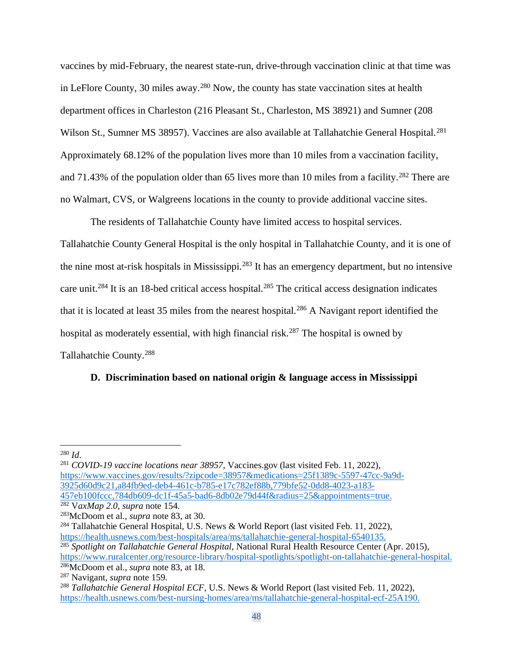vaccines by mid-February, the nearest state-run, drive-through vaccination clinic at that time was in LeFlore County, 30 miles away.<sup>280</sup> Now, the county has state vaccination sites at health department offices in Charleston (216 Pleasant St., Charleston, MS 38921) and Sumner (208 Wilson St., Sumner MS 38957). Vaccines are also available at Tallahatchie General Hospital.<sup>281</sup> Approximately 68.12% of the population lives more than 10 miles from a vaccination facility, and 71.43% of the population older than 65 lives more than 10 miles from a facility.<sup>282</sup> There are no Walmart, CVS, or Walgreens locations in the county to provide additional vaccine sites.

The residents of Tallahatchie County have limited access to hospital services.

Tallahatchie County General Hospital is the only hospital in Tallahatchie County, and it is one of the nine most at-risk hospitals in Mississippi.<sup>283</sup> It has an emergency department, but no intensive care unit.<sup>284</sup> It is an 18-bed critical access hospital.<sup>285</sup> The critical access designation indicates that it is located at least 35 miles from the nearest hospital.<sup>286</sup> A Navigant report identified the hospital as moderately essential, with high financial risk.<sup>287</sup> The hospital is owned by Tallahatchie County.<sup>288</sup>

## **D. Discrimination based on national origin & language access in Mississippi**

<sup>280</sup> *Id*.

<sup>281</sup> *COVID-19 vaccine locations near 38957*, Vaccines.gov (last visited Feb. 11, 2022), [https://www.vaccines.gov/results/?zipcode=38957&medications=25f1389c-5597-47cc-9a9d-](https://www.vaccines.gov/results/?zipcode=38957&medications=25f1389c-5597-47cc-9a9d-3925d60d9c21,a84fb9ed-deb4-461c-b785-e17c782ef88b,779bfe52-0dd8-4023-a183-457eb100fccc,784db609-dc1f-45a5-bad6-8db02e79d44f&radius=25&appointments=true)[3925d60d9c21,a84fb9ed-deb4-461c-b785-e17c782ef88b,779bfe52-0dd8-4023-a183-](https://www.vaccines.gov/results/?zipcode=38957&medications=25f1389c-5597-47cc-9a9d-3925d60d9c21,a84fb9ed-deb4-461c-b785-e17c782ef88b,779bfe52-0dd8-4023-a183-457eb100fccc,784db609-dc1f-45a5-bad6-8db02e79d44f&radius=25&appointments=true) [457eb100fccc,784db609-dc1f-45a5-bad6-8db02e79d44f&radius=25&appointments=true.](https://www.vaccines.gov/results/?zipcode=38957&medications=25f1389c-5597-47cc-9a9d-3925d60d9c21,a84fb9ed-deb4-461c-b785-e17c782ef88b,779bfe52-0dd8-4023-a183-457eb100fccc,784db609-dc1f-45a5-bad6-8db02e79d44f&radius=25&appointments=true)

<sup>282</sup> V*axMap 2.0*, *supra* note 154.

<sup>283</sup>McDoom et al., *supra* note 83, at 30.

<sup>&</sup>lt;sup>284</sup> Tallahatchie General Hospital, U.S. News & World Report (last visited Feb. 11, 2022), [https://health.usnews.com/best-hospitals/area/ms/tallahatchie-general-hospital-6540135.](https://health.usnews.com/best-hospitals/area/ms/tallahatchie-general-hospital-6540135)

<sup>285</sup> *Spotlight on Tallahatchie General Hospital*, National Rural Health Resource Center (Apr. 2015),

[https://www.ruralcenter.org/resource-library/hospital-spotlights/spotlight-on-tallahatchie-general-hospital.](https://www.ruralcenter.org/resource-library/hospital-spotlights/spotlight-on-tallahatchie-general-hospital) <sup>286</sup>McDoom et al., *supra* note 83, at 18.

<sup>287</sup> Navigant, *supra* note 159.

<sup>288</sup> *Tallahatchie General Hospital ECF*, U.S. News & World Report (last visited Feb. 11, 2022), [https://health.usnews.com/best-nursing-homes/area/ms/tallahatchie-general-hospital-ecf-25A190.](https://health.usnews.com/best-nursing-homes/area/ms/tallahatchie-general-hospital-ecf-25A190)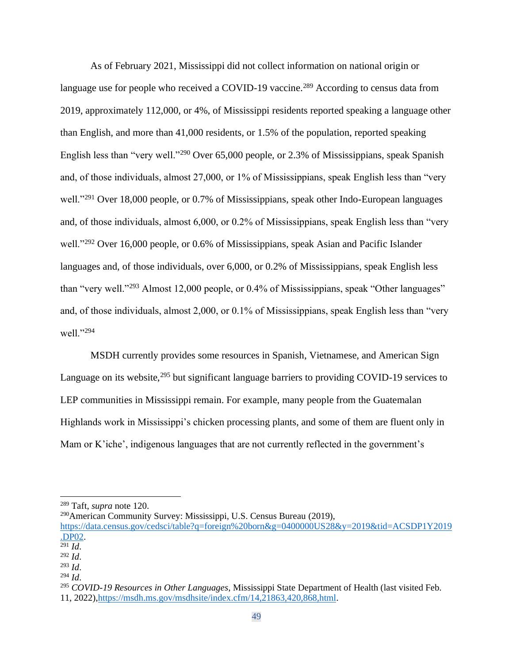As of February 2021, Mississippi did not collect information on national origin or language use for people who received a COVID-19 vaccine.<sup>289</sup> According to census data from 2019, approximately 112,000, or 4%, of Mississippi residents reported speaking a language other than English, and more than 41,000 residents, or 1.5% of the population, reported speaking English less than "very well."<sup>290</sup> Over 65,000 people, or 2.3% of Mississippians, speak Spanish and, of those individuals, almost 27,000, or 1% of Mississippians, speak English less than "very well."<sup>291</sup> Over 18,000 people, or 0.7% of Mississippians, speak other Indo-European languages and, of those individuals, almost 6,000, or 0.2% of Mississippians, speak English less than "very well."<sup>292</sup> Over 16,000 people, or 0.6% of Mississippians, speak Asian and Pacific Islander languages and, of those individuals, over 6,000, or 0.2% of Mississippians, speak English less than "very well."<sup>293</sup> Almost 12,000 people, or 0.4% of Mississippians, speak "Other languages" and, of those individuals, almost 2,000, or 0.1% of Mississippians, speak English less than "very well."<sup>294</sup>

MSDH currently provides some resources in Spanish, Vietnamese, and American Sign Language on its website,  $295$  but significant language barriers to providing COVID-19 services to LEP communities in Mississippi remain. For example, many people from the Guatemalan Highlands work in Mississippi's chicken processing plants, and some of them are fluent only in Mam or K'iche', indigenous languages that are not currently reflected in the government's

<sup>290</sup>American Community Survey: Mississippi, U.S. Census Bureau (2019),

<sup>291</sup> *Id*.

<sup>293</sup> *Id*.

<sup>289</sup> Taft, *supra* note 120.

[https://data.census.gov/cedsci/table?q=foreign%20born&g=0400000US28&y=2019&tid=ACSDP1Y2019](https://data.census.gov/cedsci/table?q=foreign%20born&g=0400000US28&y=2019&tid=ACSDP1Y2019.DP02) [.DP02.](https://data.census.gov/cedsci/table?q=foreign%20born&g=0400000US28&y=2019&tid=ACSDP1Y2019.DP02)

<sup>292</sup> *Id*.

 $^{294}$  *Id.* 

<sup>295</sup> *COVID-19 Resources in Other Languages*[, Mississippi State Department of Health \(last visited Feb.](https://southernpoverty.sharepoint.com/sites/COVID-MS/Shared%20Documents/General/COVID-19%20Resources%20in%20Other%20Languages,%20Mississippi%20State%20Department%20of%20Health%20(last%20visited%20Feb.%2011,%202022),%20https:/msdh.ms.gov/msdhsite/index.cfm/14,21863,420,868,html)  [11, 2022\),https://msdh.ms.gov/msdhsite/index.cfm/14,21863,420,868,html.](https://southernpoverty.sharepoint.com/sites/COVID-MS/Shared%20Documents/General/COVID-19%20Resources%20in%20Other%20Languages,%20Mississippi%20State%20Department%20of%20Health%20(last%20visited%20Feb.%2011,%202022),%20https:/msdh.ms.gov/msdhsite/index.cfm/14,21863,420,868,html)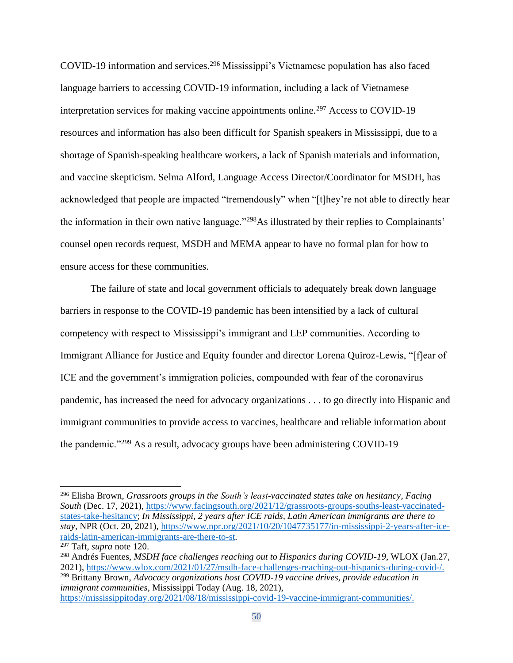COVID-19 information and services.<sup>296</sup> Mississippi's Vietnamese population has also faced language barriers to accessing COVID-19 information, including a lack of Vietnamese interpretation services for making vaccine appointments online.<sup>297</sup> Access to COVID-19 resources and information has also been difficult for Spanish speakers in Mississippi, due to a shortage of Spanish-speaking healthcare workers, a lack of Spanish materials and information, and vaccine skepticism. Selma Alford, Language Access Director/Coordinator for MSDH, has acknowledged that people are impacted "tremendously" when "[t]hey're not able to directly hear the information in their own native language."<sup>298</sup>As illustrated by their replies to Complainants' counsel open records request, MSDH and MEMA appear to have no formal plan for how to ensure access for these communities.

The failure of state and local government officials to adequately break down language barriers in response to the COVID-19 pandemic has been intensified by a lack of cultural competency with respect to Mississippi's immigrant and LEP communities. According to Immigrant Alliance for Justice and Equity founder and director Lorena Quiroz-Lewis, "[f]ear of ICE and the government's immigration policies, compounded with fear of the coronavirus pandemic, has increased the need for advocacy organizations . . . to go directly into Hispanic and immigrant communities to provide access to vaccines, healthcare and reliable information about the pandemic."<sup>299</sup> As a result, advocacy groups have been administering COVID-19

<sup>296</sup> Elisha Brown, *Grassroots groups in the South's least-vaccinated states take on hesitancy, Facing South* (Dec. 17, 2021), [https://www.facingsouth.org/2021/12/grassroots-groups-souths-least-vaccinated](https://www.facingsouth.org/2021/12/grassroots-groups-souths-least-vaccinated-states-take-hesitancy)[states-take-hesitancy;](https://www.facingsouth.org/2021/12/grassroots-groups-souths-least-vaccinated-states-take-hesitancy) *In Mississippi, 2 years after ICE raids, Latin American immigrants are there to stay*, NPR (Oct. 20, 2021), [https://www.npr.org/2021/10/20/1047735177/in-mississippi-2-years-after-ice](https://www.npr.org/2021/10/20/1047735177/in-mississippi-2-years-after-ice-raids-latin-american-immigrants-are-there-to-st)[raids-latin-american-immigrants-are-there-to-st.](https://www.npr.org/2021/10/20/1047735177/in-mississippi-2-years-after-ice-raids-latin-american-immigrants-are-there-to-st)

<sup>297</sup> Taft, *supra* note 120.

<sup>298</sup> Andrés Fuentes, *MSDH face challenges reaching out to Hispanics during COVID-19*, WLOX (Jan.27, 2021), [https://www.wlox.com/2021/01/27/msdh-face-challenges-reaching-out-hispanics-during-covid-/.](https://www.wlox.com/2021/01/27/msdh-face-challenges-reaching-out-hispanics-during-covid-/) <sup>299</sup> Brittany Brown, *Advocacy organizations host COVID-19 vaccine drives, provide education in immigrant communities,* Mississippi Today (Aug. 18, 2021), [https://mississippitoday.org/2021/08/18/mississippi-covid-19-vaccine-immigrant-communities/.](https://mississippitoday.org/2021/08/18/mississippi-covid-19-vaccine-immigrant-communities/)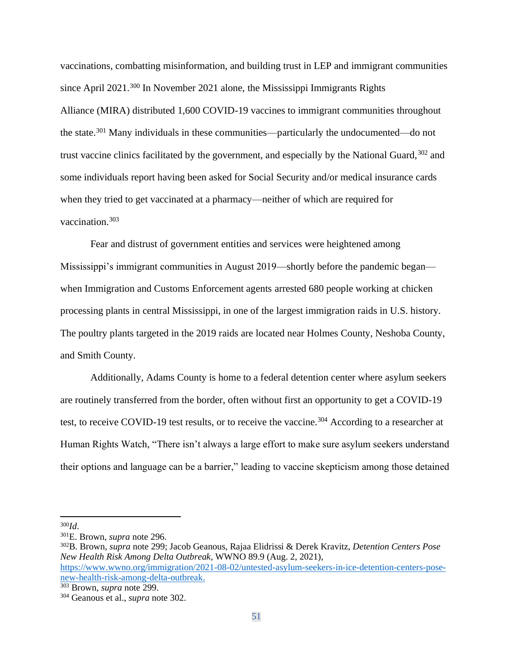vaccinations, combatting misinformation, and building trust in LEP and immigrant communities since April 2021.<sup>300</sup> In November 2021 alone, the Mississippi Immigrants Rights Alliance (MIRA) distributed 1,600 COVID-19 vaccines to immigrant communities throughout the state.<sup>301</sup> Many individuals in these communities—particularly the undocumented—do not trust vaccine clinics facilitated by the government, and especially by the National Guard, 302 and some individuals report having been asked for Social Security and/or medical insurance cards when they tried to get vaccinated at a pharmacy—neither of which are required for vaccination.<sup>303</sup>

Fear and distrust of government entities and services were heightened among Mississippi's immigrant communities in August 2019—shortly before the pandemic began when Immigration and Customs Enforcement agents arrested 680 people working at chicken processing plants in central Mississippi, in one of the largest immigration raids in U.S. history. The poultry plants targeted in the 2019 raids are located near Holmes County, Neshoba County, and Smith County.

Additionally, Adams County is home to a federal detention center where asylum seekers are routinely transferred from the border, often without first an opportunity to get a COVID-19 test, to receive COVID-19 test results, or to receive the vaccine.<sup>304</sup> According to a researcher at Human Rights Watch, "There isn't always a large effort to make sure asylum seekers understand their options and language can be a barrier," leading to vaccine skepticism among those detained

<sup>300</sup>*Id*.

<sup>301</sup>E. Brown, *supra* note 296.

<sup>302</sup>B. Brown, *supra* note 299; Jacob Geanous, Rajaa Elidrissi & Derek Kravitz, *Detention Centers Pose New Health Risk Among Delta Outbreak,* WWNO 89.9 (Aug. 2, 2021),

[https://www.wwno.org/immigration/2021-08-02/untested-asylum-seekers-in-ice-detention-centers-pose](https://www.wwno.org/immigration/2021-08-02/untested-asylum-seekers-in-ice-detention-centers-pose-new-health-risk-among-delta-outbreak)[new-health-risk-among-delta-outbreak.](https://www.wwno.org/immigration/2021-08-02/untested-asylum-seekers-in-ice-detention-centers-pose-new-health-risk-among-delta-outbreak)

<sup>303</sup> Brown, *supra* note 299.

<sup>304</sup> Geanous et al., *supra* note 302.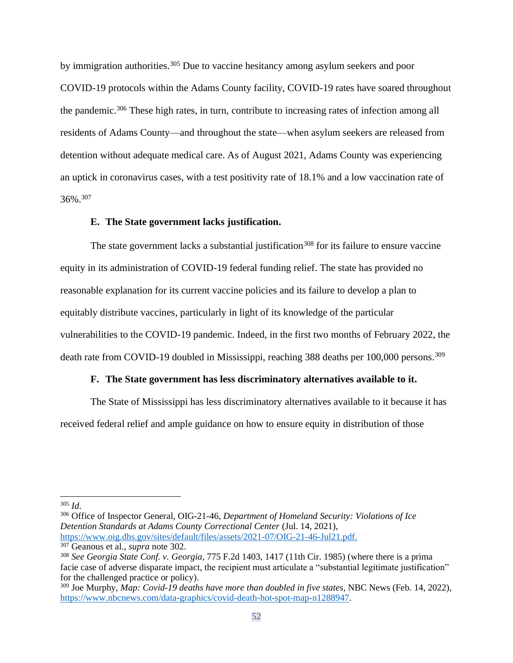by immigration authorities.<sup>305</sup> Due to vaccine hesitancy among asylum seekers and poor COVID-19 protocols within the Adams County facility, COVID-19 rates have soared throughout the pandemic.<sup>306</sup> These high rates, in turn, contribute to increasing rates of infection among all residents of Adams County—and throughout the state—when asylum seekers are released from detention without adequate medical care. As of August 2021, Adams County was experiencing an uptick in coronavirus cases, with a test positivity rate of 18.1% and a low vaccination rate of 36%.<sup>307</sup>

### **E. The State government lacks justification.**

The state government lacks a substantial justification<sup>308</sup> for its failure to ensure vaccine equity in its administration of COVID-19 federal funding relief. The state has provided no reasonable explanation for its current vaccine policies and its failure to develop a plan to equitably distribute vaccines, particularly in light of its knowledge of the particular vulnerabilities to the COVID-19 pandemic. Indeed, in the first two months of February 2022, the death rate from COVID-19 doubled in Mississippi, reaching 388 deaths per 100,000 persons.<sup>309</sup>

## **F. The State government has less discriminatory alternatives available to it.**

The State of Mississippi has less discriminatory alternatives available to it because it has received federal relief and ample guidance on how to ensure equity in distribution of those

<sup>306</sup> Office of Inspector General, OIG-21-46, *Department of Homeland Security: Violations of Ice Detention Standards at Adams County Correctional Center* (Jul. 14, 2021), [https://www.oig.dhs.gov/sites/default/files/assets/2021-07/OIG-21-46-Jul21.pdf.](https://www.oig.dhs.gov/sites/default/files/assets/2021-07/OIG-21-46-Jul21.pdf) <sup>307</sup> Geanous et al., *supra* note 302.

<sup>305</sup> *Id*.

<sup>308</sup> *See Georgia State Conf. v. Georgia*, 775 F.2d 1403, 1417 (11th Cir. 1985) (where there is a prima facie case of adverse disparate impact, the recipient must articulate a "substantial legitimate justification" for the challenged practice or policy).

<sup>309</sup> Joe Murphy, *Map: Covid-19 deaths have more than doubled in five states*, NBC News (Feb. 14, 2022), [https://www.nbcnews.com/data-graphics/covid-death-hot-spot-map-n1288947.](https://www.nbcnews.com/data-graphics/covid-death-hot-spot-map-n1288947)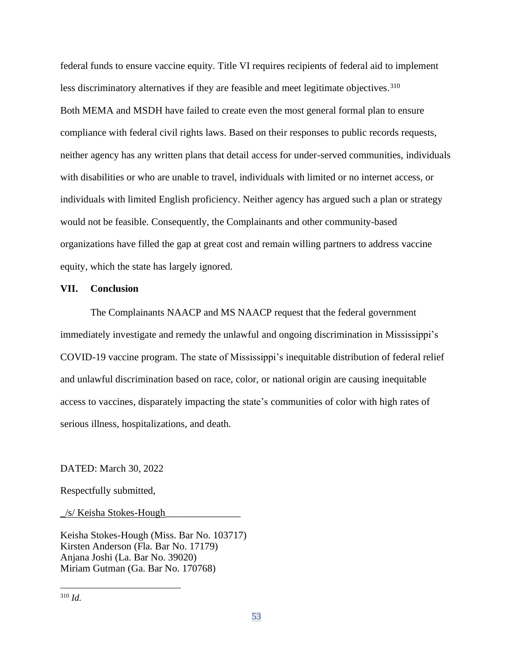federal funds to ensure vaccine equity. Title VI requires recipients of federal aid to implement less discriminatory alternatives if they are feasible and meet legitimate objectives.<sup>310</sup> Both MEMA and MSDH have failed to create even the most general formal plan to ensure compliance with federal civil rights laws. Based on their responses to public records requests, neither agency has any written plans that detail access for under-served communities, individuals with disabilities or who are unable to travel, individuals with limited or no internet access, or individuals with limited English proficiency. Neither agency has argued such a plan or strategy would not be feasible. Consequently, the Complainants and other community-based organizations have filled the gap at great cost and remain willing partners to address vaccine equity, which the state has largely ignored.

#### **VII. Conclusion**

The Complainants NAACP and MS NAACP request that the federal government immediately investigate and remedy the unlawful and ongoing discrimination in Mississippi's COVID-19 vaccine program. The state of Mississippi's inequitable distribution of federal relief and unlawful discrimination based on race, color, or national origin are causing inequitable access to vaccines, disparately impacting the state's communities of color with high rates of serious illness, hospitalizations, and death.

DATED: March 30, 2022

Respectfully submitted,

 $\angle$ /s/ Keisha Stokes-Hough

Keisha Stokes-Hough (Miss. Bar No. 103717) Kirsten Anderson (Fla. Bar No. 17179) Anjana Joshi (La. Bar No. 39020) Miriam Gutman (Ga. Bar No. 170768)

<sup>310</sup> *Id.*